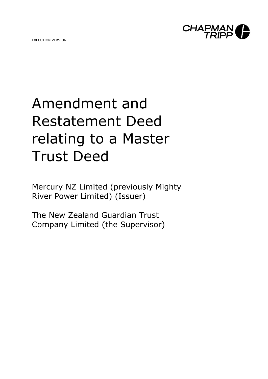EXECUTION VERSION



# Amendment and Restatement Deed relating to a Master Trust Deed

Mercury NZ Limited (previously Mighty River Power Limited) (Issuer)

The New Zealand Guardian Trust Company Limited (the Supervisor)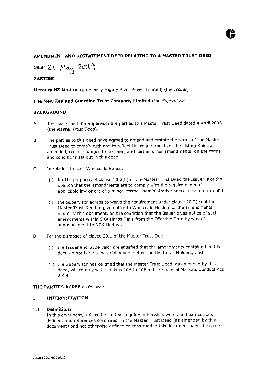

#### **AMENDMENT AND RESTATEMENT DEED RELATING TO A MASTER TRUST DEED**

*Date:* 21 May 2019

#### **PARTIES**

**Mercury NZ Limited** (previously Mighty River Power Limited) (the *Issuer)* 

**The New Zealand Guardian Trust Company Limited** (the *Supervisor)* 

#### **BACKGROUND**

- A The Issuer and the Supervisor are parties to a Master Trust Deed dated 4 April 2003 (the *Master Trust Deed).*
- The parties to this deed have agreed to amend and restate the terms of the Master Trust Deed to comply with and to reflect the requirements of the listing Rules as amended, recent changes to tax laws, and certain other amendments, on the terms and conditions set out in this deed.
- In relation to each Wholesale Series:
	- (i) for the purposes of clause 20.2(b) of the Master Trust Deed the Issuer is of the opinion that the amendments are to comply with the requirements of applicable law or are of a minor, formal, administrative or technical nature; and
	- (ii) the Supervisor agrees to waive the requirement under clause 20.2(e) of the Master Trust Deed to give notice to Wholesale Holders of the amendments made by this document, on the condition that the Issuer gives notice of such amendments within 5 Business Days from the Effective Date by way of announcement to NZX Limited.
- For the purposes of clause 20.1 of the Master Trust Deed:
	- (i) the Issuer and Supervisor are satisfied that the amendments contained in this 'deed do not have a material adverse effect on the Retail Holders; and
	- (ii) the Supervisor has certified that the Master Trust Deed, as amended by this deed, will comply with sections 104 to 106 of the Financial Markets Conduct Act 2013.

#### **THE PARTIES AGREE** as follows:

#### 1 **INTERPRETATION**

#### 1.1 **Definitions**

In this document, unless the context requires otherwise, words and expressions defined, and references construed, in the Master Trust Deed (as amended by this document) and not otherwise defined or construed in this document have the same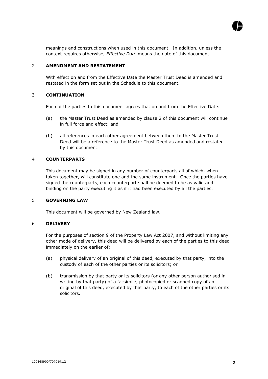

meanings and constructions when used in this document. In addition, unless the context requires otherwise, *Effective Date* means the date of this document.

#### 2 **AMENDMENT AND RESTATEMENT**

With effect on and from the Effective Date the Master Trust Deed is amended and restated in the form set out in the Schedule to this document.

#### 3 **CONTINUATION**

Each of the parties to this document agrees that on and from the Effective Date:

- (a) the Master Trust Deed as amended by clause 2 of this document will continue in full force and effect; and
- (b) all references in each other agreement between them to the Master Trust Deed will be a reference to the Master Trust Deed as amended and restated by this document.

#### 4 **COUNTERPARTS**

This document may be signed in any number of counterparts all of which, when taken together, will constitute one and the same instrument. Once the parties have signed the counterparts, each counterpart shall be deemed to be as valid and binding on the party executing it as if it had been executed by all the parties.

#### 5 **GOVERNING LAW**

This document will be governed by New Zealand law.

#### 6 **DELIVERY**

For the purposes of section 9 of the Property Law Act 2007, and without limiting any other mode of delivery, this deed will be delivered by each of the parties to this deed immediately on the earlier of:

- (a) physical delivery of an original of this deed, executed by that party, into the custody of each of the other parties or its solicitors; or
- (b) transmission by that party or its solicitors (or any other person authorised in writing by that party) of a facsimile, photocopied or scanned copy of an original of this deed, executed by that party, to each of the other parties or its solicitors.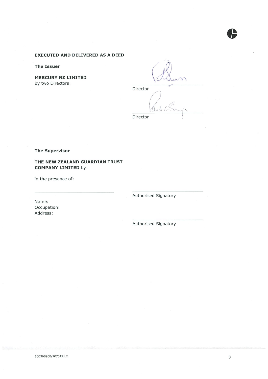#### **EXECUTED AND DELIVERED AS A DEED**

**The Issuer** 

**MERCURY NZ LIMITED** by two Directors:

Director

Director

**The Supervisor** 

#### THE NEW ZEALAND GUARDIAN TRUST **COMPANY LIMITED by:**

in the presence of:

Authorised Signatory

Name: Occupation: Address:

Authorised Signatory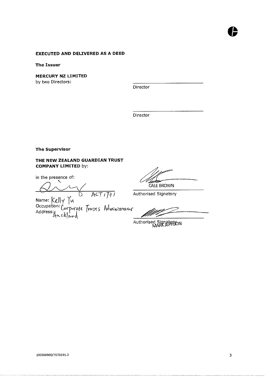#### **EXECUTED AND DELIVERED AS A DEED**

**The Issuer** 

**MERCURY NZ LIMITED**  by two Directors:

Director

Director

**The Supervisor** 

#### **THE NEW ZEALAND GUARDIAN TRUST COMPANY LIMITED** by:

in the presence of:

 $Name: Kell \mid \gamma \mid u$ Occupation: p L.6c-pciraft fyikc-tS Acly,Vni'unvfor Address: , oLcKlavvq,'

CALE BROWN

Authorised Signatory

Authorised Signatorm

 $\bullet$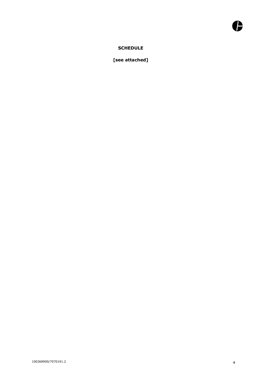### **SCHEDULE**

**[see attached]**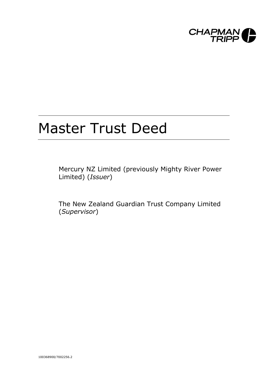

## Master Trust Deed

Mercury NZ Limited (previously Mighty River Power Limited) (*Issuer*)

The New Zealand Guardian Trust Company Limited (*Supervisor*)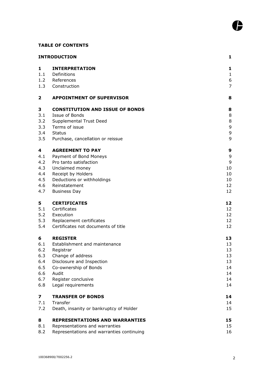#### **TABLE OF CONTENTS**

|                         | <b>INTRODUCTION</b>                       | 1              |
|-------------------------|-------------------------------------------|----------------|
| $\mathbf{1}$            | <b>INTERPRETATION</b>                     | 1              |
| 1.1                     | Definitions                               | $\mathbf{1}$   |
| 1.2                     | References                                | 6              |
| 1.3                     | Construction                              | $\overline{7}$ |
| $\overline{\mathbf{2}}$ | <b>APPOINTMENT OF SUPERVISOR</b>          | 8              |
| 3                       | <b>CONSTITUTION AND ISSUE OF BONDS</b>    | 8              |
| 3.1                     | Issue of Bonds                            | 8              |
| 3.2                     | Supplemental Trust Deed<br>Terms of issue | 8<br>9         |
| 3.3<br>3.4              | <b>Status</b>                             | $\mathsf 9$    |
| 3.5                     | Purchase, cancellation or reissue         | 9              |
| 4                       | <b>AGREEMENT TO PAY</b>                   | 9              |
| 4.1                     | Payment of Bond Moneys                    | 9              |
| 4.2                     | Pro tanto satisfaction                    | 9              |
| 4.3                     | Unclaimed money                           | 10             |
| 4.4                     | Receipt by Holders                        | 10             |
| 4.5                     | Deductions or withholdings                | 10             |
| 4.6                     | Reinstatement                             | 12             |
| 4.7                     | <b>Business Day</b>                       | 12             |
| 5                       | <b>CERTIFICATES</b>                       | 12             |
| 5.1                     | Certificates                              | 12             |
| 5.2<br>5.3              | Execution<br>Replacement certificates     | 12<br>12       |
| 5.4                     | Certificates not documents of title       | 12             |
|                         |                                           |                |
| 6                       | <b>REGISTER</b>                           | 13             |
| 6.1<br>6.2              | Establishment and maintenance             | 13<br>13       |
| 6.3                     | Registrar<br>Change of address            | 13             |
| 6.4                     | Disclosure and Inspection                 | 13             |
| 6.5                     | Co-ownership of Bonds                     | 14             |
| 6.6                     | Audit                                     | 14             |
| 6.7                     | Register conclusive                       | 14             |
| 6.8                     | Legal requirements                        | 14             |
| 7                       | <b>TRANSFER OF BONDS</b>                  | 14             |
| 7.1                     | Transfer                                  | 14             |
| 7.2                     | Death, insanity or bankruptcy of Holder   | 15             |
| 8                       | <b>REPRESENTATIONS AND WARRANTIES</b>     | 15             |
| 8.1                     | Representations and warranties            | 15             |
| 8.2                     | Representations and warranties continuing | 16             |

l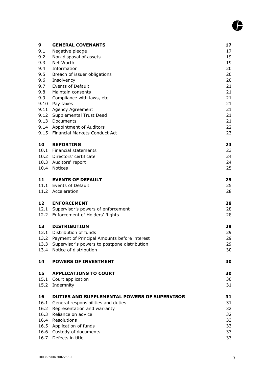| 9    | <b>GENERAL COVENANTS</b>                           | 17       |
|------|----------------------------------------------------|----------|
| 9.1  | Negative pledge                                    | 17       |
| 9.2  | Non-disposal of assets                             | 19       |
| 9.3  | Net Worth                                          | 19       |
| 9.4  | Information                                        | 20       |
| 9.5  | Breach of issuer obligations                       | 20       |
| 9.6  | Insolvency                                         | 20       |
| 9.7  | <b>Events of Default</b>                           | 21       |
| 9.8  | Maintain consents                                  | 21       |
| 9.9  | Compliance with laws, etc                          | 21       |
|      | 9.10 Pay taxes<br>9.11 Agency Agreement            | 21<br>21 |
|      | 9.12 Supplemental Trust Deed                       | 21       |
| 9.13 | Documents                                          | 21       |
|      | 9.14 Appointment of Auditors                       | 22       |
|      | 9.15 Financial Markets Conduct Act                 | 23       |
|      |                                                    |          |
| 10   | <b>REPORTING</b>                                   | 23       |
|      | 10.1 Financial statements                          | 23       |
|      | 10.2 Directors' certificate                        | 24       |
|      | 10.3 Auditors' report                              | 24       |
|      | 10.4 Notices                                       | 25       |
|      |                                                    |          |
| 11   | <b>EVENTS OF DEFAULT</b><br>11.1 Events of Default | 25       |
|      | 11.2 Acceleration                                  | 25<br>28 |
|      |                                                    |          |
| 12   | <b>ENFORCEMENT</b>                                 | 28       |
|      | 12.1 Supervisor's powers of enforcement            | 28       |
|      | 12.2 Enforcement of Holders' Rights                | 28       |
|      |                                                    |          |
| 13   | <b>DISTRIBUTION</b>                                | 29       |
|      | 13.1 Distribution of funds                         | 29       |
|      | 13.2 Payment of Principal Amounts before interest  | 29       |
|      | 13.3 Supervisor's powers to postpone distribution  | 29       |
|      | 13.4 Notice of distribution                        | 30       |
| 14   | <b>POWERS OF INVESTMENT</b>                        | 30       |
|      |                                                    |          |
| 15   | <b>APPLICATIONS TO COURT</b>                       | 30       |
|      | 15.1 Court application                             | 30       |
|      | 15.2 Indemnity                                     | 31       |
| 16   | DUTIES AND SUPPLEMENTAL POWERS OF SUPERVISOR       | 31       |
|      | 16.1 General responsibilities and duties           | 31       |
|      | 16.2 Representation and warranty                   | 32       |
|      | 16.3 Reliance on advice                            | 32       |
|      | 16.4 Resolutions                                   | 33       |
| 16.5 | Application of funds                               | 33       |
|      | 16.6 Custody of documents                          | 33       |
|      | 16.7 Defects in title                              | 33       |

ß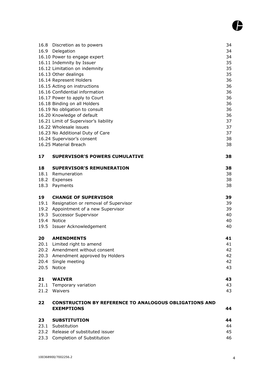| 16.8 Discretion as to powers<br>16.9<br>Delegation<br>16.10 Power to engage expert<br>16.11 Indemnity by Issuer<br>16.12 Limitation on indemnity<br>16.13 Other dealings<br>16.14 Represent Holders<br>16.15 Acting on instructions<br>16.16 Confidential information<br>16.17 Power to apply to Court<br>16.18 Binding on all Holders<br>16.19 No obligation to consult<br>16.20 Knowledge of default<br>16.21 Limit of Supervisor's liability<br>16.22 Wholesale issues<br>16.23 No Additional Duty of Care<br>16.24 Supervisor's consent<br>16.25 Material Breach | 34<br>34<br>34<br>35<br>35<br>35<br>36<br>36<br>36<br>36<br>36<br>36<br>36<br>37<br>37<br>37<br>38<br>38 |
|----------------------------------------------------------------------------------------------------------------------------------------------------------------------------------------------------------------------------------------------------------------------------------------------------------------------------------------------------------------------------------------------------------------------------------------------------------------------------------------------------------------------------------------------------------------------|----------------------------------------------------------------------------------------------------------|
| <b>SUPERVISOR'S POWERS CUMULATIVE</b>                                                                                                                                                                                                                                                                                                                                                                                                                                                                                                                                | 38                                                                                                       |
| <b>SUPERVISOR'S REMUNERATION</b><br>18.1 Remuneration<br>18.2<br>Expenses<br>Payments                                                                                                                                                                                                                                                                                                                                                                                                                                                                                | 38<br>38<br>38<br>38                                                                                     |
| <b>CHANGE OF SUPERVISOR</b><br>Resignation or removal of Supervisor<br>19.2<br>Appointment of a new Supervisor<br>Successor Supervisor<br><b>Notice</b><br>Issuer Acknowledgement                                                                                                                                                                                                                                                                                                                                                                                    | 39<br>39<br>39<br>40<br>40<br>40                                                                         |
| <b>AMENDMENTS</b><br>20.1 Limited right to amend<br>Amendment without consent<br>20.2<br>20.3<br>Amendment approved by Holders<br>20.4<br>Single meeting<br>20.5<br>Notice                                                                                                                                                                                                                                                                                                                                                                                           | 41<br>41<br>42<br>42<br>42<br>43                                                                         |
| <b>WAIVER</b><br>21.1<br>Temporary variation<br>21.2<br>Waivers                                                                                                                                                                                                                                                                                                                                                                                                                                                                                                      | 43<br>43<br>43                                                                                           |
| <b>CONSTRUCTION BY REFERENCE TO ANALOGOUS OBLIGATIONS AND</b><br><b>EXEMPTIONS</b>                                                                                                                                                                                                                                                                                                                                                                                                                                                                                   | 44                                                                                                       |
| <b>SUBSTITUTION</b><br>Substitution<br>23.1<br>23.2 Release of substituted issuer                                                                                                                                                                                                                                                                                                                                                                                                                                                                                    | 44<br>44<br>45<br>46                                                                                     |
|                                                                                                                                                                                                                                                                                                                                                                                                                                                                                                                                                                      | 23.3 Completion of Substitution                                                                          |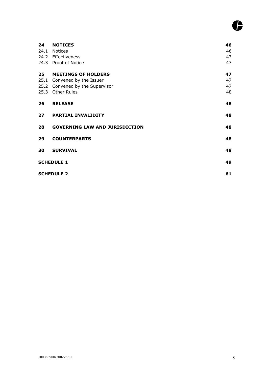## G

| 24 | <b>NOTICES</b>                        | 46 |
|----|---------------------------------------|----|
|    | 24.1 Notices                          | 46 |
|    | 24.2 Effectiveness                    | 47 |
|    | 24.3 Proof of Notice                  | 47 |
| 25 | <b>MEETINGS OF HOLDERS</b>            | 47 |
|    | 25.1 Convened by the Issuer           | 47 |
|    | 25.2 Convened by the Supervisor       | 47 |
|    | 25.3 Other Rules                      | 48 |
| 26 | <b>RELEASE</b>                        | 48 |
|    |                                       |    |
| 27 | <b>PARTIAL INVALIDITY</b>             | 48 |
| 28 | <b>GOVERNING LAW AND JURISDICTION</b> | 48 |
| 29 | <b>COUNTERPARTS</b>                   | 48 |
| 30 | <b>SURVIVAL</b>                       | 48 |
|    | <b>SCHEDULE 1</b>                     | 49 |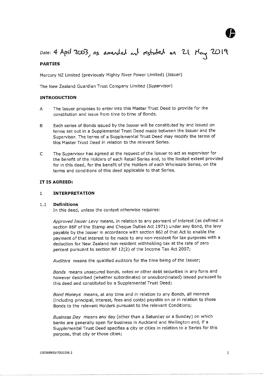

### Date: 4 April 2003, as amended and restated on 21 May 2019

#### **PARTIES**

Mercury NZ Limited (previously Mighty River Power Limited) *(Issuer)* 

<span id="page-11-0"></span>The New Zealand Guardian Trust Company Limited *(Supervisor)* 

#### **INTRODUCTION**

- A The Issuer proposes to enter into this Master Trust Deed to provide for the constitution and issue from time to time of Bonds.
- $\overline{B}$ Each series of Bonds issued by the Issuer will be constituted by and issued on terms set out in a Supplemental Trust Deed made between the Issuer and the Supervisor. The terms of a Supplemental Trust Deed may modify the terms of this Master Trust Deed in relation to the relevant Series.
- $\mathsf{C}$ The Supervisor has agreed at the request of the Issuer to act as supervisor for the benefit of the Holders of each Retail Series and, to the limited extent provided for in this deed, for the benefit of the Holders of each Wholesale Series, on the terms and conditions of this deed applicable to that Series.

#### **IT IS AGREED:**

#### <span id="page-11-1"></span>1 **INTERPRETATION**

#### <span id="page-11-2"></span>1.1 **Definitions**

In this deed, unless the context otherwise requires:

*Approved Issuer Levy* means, in relation to any payment of interest (as defined in section 86F of the Stamp and Cheque Duties Act 1971) under any Bond, the levy payable by the Issuer in accordance with section 86J of that Act to enable the payment of that interest to be made to any non-resident for tax purposes with a deduction for New Zealand non-resident withholding tax at the rate of zero percent pursuant to section RF 12(2) of the Income Tax Act 2007;

*Auditors* means the qualified auditors for the time being of the Issuer;

*Bonds* means unsecured bonds, notes or other debt securities in any form and however described (whether subordinated or unsubordinated) issued pursuant to this deed and constituted by a Supplemental Trust Deed;

*Bond Moneys* means, at any time and in relation to any Bonds, all moneys (including principal, interest, fees and costs) payable on or in relation to those Bonds to the relevant Holders pursuant to the relevant Conditions;

*Business Day* means any day (other than a Saturday or a Sunday) on which banks are generally open for business in Auckland and Wellington and, if a Supplemental Trust Deed specifies a city or cities in relation to a Series for this purpose, that city or those cities;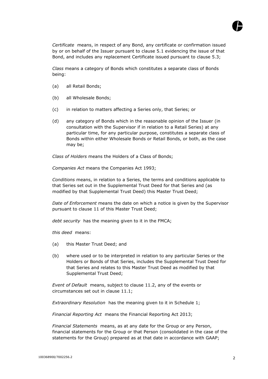

*Certificate* means, in respect of any Bond, any certificate or confirmation issued by or on behalf of the Issuer pursuant to clause 5.1 evidencing the issue of that Bond, and includes any replacement Certificate issued pursuant to clause 5.3;

*Class* means a category of Bonds which constitutes a separate class of Bonds being:

- (a) all Retail Bonds;
- (b) all Wholesale Bonds;
- (c) in relation to matters affecting a Series only, that Series; or
- (d) any category of Bonds which in the reasonable opinion of the Issuer (in consultation with the Supervisor if in relation to a Retail Series) at any particular time, for any particular purpose, constitutes a separate class of Bonds within either Wholesale Bonds or Retail Bonds, or both, as the case may be;

*Class of Holders* means the Holders of a Class of Bonds;

*Companies Act* means the Companies Act 1993;

*Conditions* means, in relation to a Series, the terms and conditions applicable to that Series set out in the Supplemental Trust Deed for that Series and (as modified by that Supplemental Trust Deed) this Master Trust Deed;

*Date of Enforcement* means the date on which a notice is given by the Supervisor pursuant to clause 11 of this Master Trust Deed;

*debt security* has the meaning given to it in the FMCA;

*this deed* means:

- (a) this Master Trust Deed; and
- (b) where used or to be interpreted in relation to any particular Series or the Holders or Bonds of that Series, includes the Supplemental Trust Deed for that Series and relates to this Master Trust Deed as modified by that Supplemental Trust Deed;

*Event of Default* means, subject to clause 11.2, any of the events or circumstances set out in clause 11.1;

*Extraordinary Resolution* has the meaning given to it in Schedule 1;

*Financial Reporting Act* means the Financial Reporting Act 2013;

*Financial Statements* means, as at any date for the Group or any Person, financial statements for the Group or that Person (consolidated in the case of the statements for the Group) prepared as at that date in accordance with GAAP;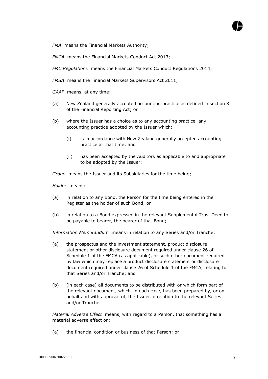*FMA* means the Financial Markets Authority;

*FMCA* means the Financial Markets Conduct Act 2013;

*FMC Regulations* means the Financial Markets Conduct Regulations 2014;

*FMSA* means the Financial Markets Supervisors Act 2011;

*GAAP* means, at any time:

- (a) New Zealand generally accepted accounting practice as defined in section 8 of the Financial Reporting Act; or
- (b) where the Issuer has a choice as to any accounting practice, any accounting practice adopted by the Issuer which:
	- (i) is in accordance with New Zealand generally accepted accounting practice at that time; and
	- (ii) has been accepted by the Auditors as applicable to and appropriate to be adopted by the Issuer;

*Group* means the Issuer and its Subsidiaries for the time being;

*Holder* means:

- (a) in relation to any Bond, the Person for the time being entered in the Register as the holder of such Bond; or
- (b) in relation to a Bond expressed in the relevant Supplemental Trust Deed to be payable to bearer, the bearer of that Bond;

*Information Memorandum* means in relation to any Series and/or Tranche:

- (a) the prospectus and the investment statement, product disclosure statement or other disclosure document required under clause 26 of Schedule 1 of the FMCA (as applicable), or such other document required by law which may replace a product disclosure statement or disclosure document required under clause 26 of Schedule 1 of the FMCA, relating to that Series and/or Tranche; and
- (b) (in each case) all documents to be distributed with or which form part of the relevant document, which, in each case, has been prepared by, or on behalf and with approval of, the Issuer in relation to the relevant Series and/or Tranche.

*Material Adverse Effect* means, with regard to a Person, that something has a material adverse effect on:

(a) the financial condition or business of that Person; or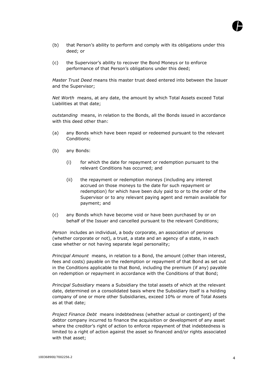

- (b) that Person's ability to perform and comply with its obligations under this deed; or
- (c) the Supervisor's ability to recover the Bond Moneys or to enforce performance of that Person's obligations under this deed;

*Master Trust Deed* means this master trust deed entered into between the Issuer and the Supervisor;

*Net Worth* means, at any date, the amount by which Total Assets exceed Total Liabilities at that date;

*outstanding* means, in relation to the Bonds, all the Bonds issued in accordance with this deed other than:

- (a) any Bonds which have been repaid or redeemed pursuant to the relevant Conditions;
- (b) any Bonds:
	- (i) for which the date for repayment or redemption pursuant to the relevant Conditions has occurred; and
	- (ii) the repayment or redemption moneys (including any interest accrued on those moneys to the date for such repayment or redemption) for which have been duly paid to or to the order of the Supervisor or to any relevant paying agent and remain available for payment; and
- (c) any Bonds which have become void or have been purchased by or on behalf of the Issuer and cancelled pursuant to the relevant Conditions;

*Person* includes an individual, a body corporate, an association of persons (whether corporate or not), a trust, a state and an agency of a state, in each case whether or not having separate legal personality;

*Principal Amount* means, in relation to a Bond, the amount (other than interest, fees and costs) payable on the redemption or repayment of that Bond as set out in the Conditions applicable to that Bond, including the premium (if any) payable on redemption or repayment in accordance with the Conditions of that Bond;

*Principal Subsidiary* means a Subsidiary the total assets of which at the relevant date, determined on a consolidated basis where the Subsidiary itself is a holding company of one or more other Subsidiaries, exceed 10% or more of Total Assets as at that date;

*Project Finance Debt* means indebtedness (whether actual or contingent) of the debtor company incurred to finance the acquisition or development of any asset where the creditor's right of action to enforce repayment of that indebtedness is limited to a right of action against the asset so financed and/or rights associated with that asset;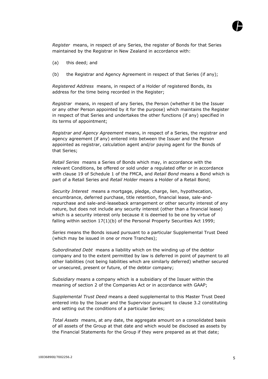

*Register* means, in respect of any Series, the register of Bonds for that Series maintained by the Registrar in New Zealand in accordance with:

- (a) this deed; and
- (b) the Registrar and Agency Agreement in respect of that Series (if any);

*Registered Address* means, in respect of a Holder of registered Bonds, its address for the time being recorded in the Register;

*Registrar* means, in respect of any Series, the Person (whether it be the Issuer or any other Person appointed by it for the purpose) which maintains the Register in respect of that Series and undertakes the other functions (if any) specified in its terms of appointment;

*Registrar and Agency Agreement* means, in respect of a Series, the registrar and agency agreement (if any) entered into between the Issuer and the Person appointed as registrar, calculation agent and/or paying agent for the Bonds of that Series;

*Retail Series* means a Series of Bonds which may, in accordance with the relevant Conditions, be offered or sold under a regulated offer or in accordance with clause 19 of Schedule 1 of the FMCA, and *Retail Bond* means a Bond which is part of a Retail Series and *Retail Holder* means a Holder of a Retail Bond;

*Security Interest* means a mortgage, pledge, charge, lien, hypothecation, encumbrance, deferred purchase, title retention, financial lease, sale-andrepurchase and sale-and-leaseback arrangement or other security interest of any nature, but does not include any security interest (other than a financial lease) which is a security interest only because it is deemed to be one by virtue of falling within section 17(1)(b) of the Personal Property Securities Act 1999;

*Series* means the Bonds issued pursuant to a particular Supplemental Trust Deed (which may be issued in one or more Tranches);

*Subordinated Debt* means a liability which on the winding up of the debtor company and to the extent permitted by law is deferred in point of payment to all other liabilities (not being liabilities which are similarly deferred) whether secured or unsecured, present or future, of the debtor company;

*Subsidiary* means a company which is a subsidiary of the Issuer within the meaning of section 2 of the Companies Act or in accordance with GAAP;

*Supplemental Trust Deed* means a deed supplemental to this Master Trust Deed entered into by the Issuer and the Supervisor pursuant to clause 3.2 constituting and setting out the conditions of a particular Series;

*Total Assets* means, at any date, the aggregate amount on a consolidated basis of all assets of the Group at that date and which would be disclosed as assets by the Financial Statements for the Group if they were prepared as at that date;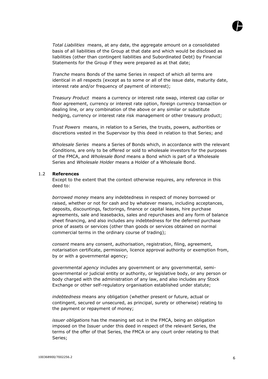

*Total Liabilities* means, at any date, the aggregate amount on a consolidated basis of all liabilities of the Group at that date and which would be disclosed as liabilities (other than contingent liabilities and Subordinated Debt) by Financial Statements for the Group if they were prepared as at that date;

*Tranche* means Bonds of the same Series in respect of which all terms are identical in all respects (except as to some or all of the issue date, maturity date, interest rate and/or frequency of payment of interest);

*Treasury Product* means a currency or interest rate swap, interest cap collar or floor agreement, currency or interest rate option, foreign currency transaction or dealing line, or any combination of the above or any similar or substitute hedging, currency or interest rate risk management or other treasury product;

*Trust Powers* means, in relation to a Series, the trusts, powers, authorities or discretions vested in the Supervisor by this deed in relation to that Series; and

*Wholesale Series* means a Series of Bonds which, in accordance with the relevant Conditions, are only to be offered or sold to wholesale investors for the purposes of the FMCA, and *Wholesale Bond* means a Bond which is part of a Wholesale Series and *Wholesale Holder* means a Holder of a Wholesale Bond.

#### <span id="page-16-0"></span>1.2 **References**

Except to the extent that the context otherwise requires, any reference in this deed to:

*borrowed money* means any indebtedness in respect of money borrowed or raised, whether or not for cash and by whatever means, including acceptances, deposits, discountings, factorings, finance or capital leases, hire purchase agreements, sale and leasebacks, sales and repurchases and any form of balance sheet financing, and also includes any indebtedness for the deferred purchase price of assets or services (other than goods or services obtained on normal commercial terms in the ordinary course of trading);

*consent* means any consent, authorisation, registration, filing, agreement, notarisation certificate, permission, licence approval authority or exemption from, by or with a governmental agency;

*governmental agency* includes any government or any governmental, semigovernmental or judicial entity or authority, or legislative body, or any person or body charged with the administration of any law, and also includes any Stock Exchange or other self-regulatory organisation established under statute;

*indebtedness* means any obligation (whether present or future, actual or contingent, secured or unsecured, as principal, surety or otherwise) relating to the payment or repayment of money;

*issuer obligations* has the meaning set out in the FMCA, being an obligation imposed on the Issuer under this deed in respect of the relevant Series, the terms of the offer of that Series, the FMCA or any court order relating to that Series;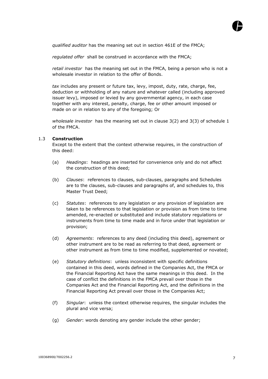

*qualified auditor* has the meaning set out in section 461E of the FMCA;

*regulated offer* shall be construed in accordance with the FMCA;

*retail investor* has the meaning set out in the FMCA, being a person who is not a wholesale investor in relation to the offer of Bonds.

*tax* includes any present or future tax, levy, impost, duty, rate, charge, fee, deduction or withholding of any nature and whatever called (including approved issuer levy), imposed or levied by any governmental agency, in each case together with any interest, penalty, charge, fee or other amount imposed or made on or in relation to any of the foregoing; Or

*wholesale investor* has the meaning set out in clause 3(2) and 3(3) of schedule 1 of the FMCA.

#### <span id="page-17-0"></span>1.3 **Construction**

Except to the extent that the context otherwise requires, in the construction of this deed:

- (a) *Headings*: headings are inserted for convenience only and do not affect the construction of this deed;
- (b) *Clauses*: references to clauses, sub-clauses, paragraphs and Schedules are to the clauses, sub-clauses and paragraphs of, and schedules to, this Master Trust Deed;
- (c) *Statutes*: references to any legislation or any provision of legislation are taken to be references to that legislation or provision as from time to time amended, re-enacted or substituted and include statutory regulations or instruments from time to time made and in force under that legislation or provision;
- (d) *Agreements*: references to any deed (including this deed), agreement or other instrument are to be read as referring to that deed, agreement or other instrument as from time to time modified, supplemented or novated;
- (e) *Statutory definitions*: unless inconsistent with specific definitions contained in this deed, words defined in the Companies Act, the FMCA or the Financial Reporting Act have the same meanings in this deed. In the case of conflict the definitions in the FMCA prevail over those in the Companies Act and the Financial Reporting Act, and the definitions in the Financial Reporting Act prevail over those in the Companies Act;
- (f) *Singular*: unless the context otherwise requires, the singular includes the plural and vice versa;
- (g) *Gender*: words denoting any gender include the other gender;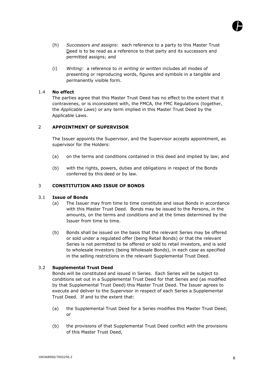

- (h) *Successors and assigns*: each reference to a party to this Master Trust Deed is to be read as a reference to that party and its successors and permitted assigns; and
- (i) *Writing*: a reference to *in writing* or *written* includes all modes of presenting or reproducing words, figures and symbols in a tangible and permanently visible form.

#### 1.4 **No effect**

The parties agree that this Master Trust Deed has no effect to the extent that it contravenes, or is inconsistent with, the FMCA, the FMC Regulations (together, the *Applicable Laws*) or any term implied in this Master Trust Deed by the Applicable Laws.

#### <span id="page-18-0"></span>2 **APPOINTMENT OF SUPERVISOR**

The Issuer appoints the Supervisor, and the Supervisor accepts appointment, as supervisor for the Holders:

- (a) on the terms and conditions contained in this deed and implied by law; and
- (b) with the rights, powers, duties and obligations in respect of the Bonds conferred by this deed or by law.

#### <span id="page-18-1"></span>3 **CONSTITUTION AND ISSUE OF BONDS**

#### <span id="page-18-2"></span>3.1 **Issue of Bonds**

- (a) The Issuer may from time to time constitute and issue Bonds in accordance with this Master Trust Deed. Bonds may be issued to the Persons, in the amounts, on the terms and conditions and at the times determined by the Issuer from time to time.
- (b) Bonds shall be issued on the basis that the relevant Series may be offered or sold under a regulated offer (being Retail Bonds) or that the relevant Series is not permitted to be offered or sold to retail investors, and is sold to wholesale investors (being Wholesale Bonds), in each case as specified in the selling restrictions in the relevant Supplemental Trust Deed.

#### <span id="page-18-3"></span>3.2 **Supplemental Trust Deed**

Bonds will be constituted and issued in Series. Each Series will be subject to conditions set out in a Supplemental Trust Deed for that Series and (as modified by that Supplemental Trust Deed) this Master Trust Deed. The Issuer agrees to execute and deliver to the Supervisor in respect of each Series a Supplemental Trust Deed. If and to the extent that:

- (a) the Supplemental Trust Deed for a Series modifies this Master Trust Deed; or
- (b) the provisions of that Supplemental Trust Deed conflict with the provisions of this Master Trust Deed,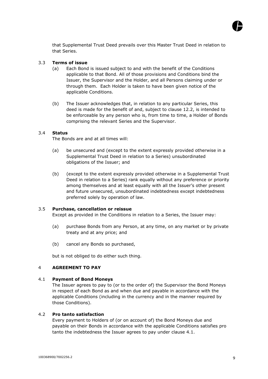

that Supplemental Trust Deed prevails over this Master Trust Deed in relation to that Series.

#### <span id="page-19-0"></span>3.3 **Terms of issue**

- (a) Each Bond is issued subject to and with the benefit of the Conditions applicable to that Bond. All of those provisions and Conditions bind the Issuer, the Supervisor and the Holder, and all Persons claiming under or through them. Each Holder is taken to have been given notice of the applicable Conditions.
- (b) The Issuer acknowledges that, in relation to any particular Series, this deed is made for the benefit of and, subject to clause 12.2, is intended to be enforceable by any person who is, from time to time, a Holder of Bonds comprising the relevant Series and the Supervisor.

#### <span id="page-19-1"></span>3.4 **Status**

The Bonds are and at all times will:

- (a) be unsecured and (except to the extent expressly provided otherwise in a Supplemental Trust Deed in relation to a Series) unsubordinated obligations of the Issuer; and
- (b) (except to the extent expressly provided otherwise in a Supplemental Trust Deed in relation to a Series) rank equally without any preference or priority among themselves and at least equally with all the Issuer's other present and future unsecured, unsubordinated indebtedness except indebtedness preferred solely by operation of law.

#### <span id="page-19-2"></span>3.5 **Purchase, cancellation or reissue**

Except as provided in the Conditions in relation to a Series, the Issuer may:

- (a) purchase Bonds from any Person, at any time, on any market or by private treaty and at any price; and
- (b) cancel any Bonds so purchased,

but is not obliged to do either such thing.

#### <span id="page-19-3"></span>4 **AGREEMENT TO PAY**

#### <span id="page-19-4"></span>4.1 **Payment of Bond Moneys**

The Issuer agrees to pay to (or to the order of) the Supervisor the Bond Moneys in respect of each Bond as and when due and payable in accordance with the applicable Conditions (including in the currency and in the manner required by those Conditions).

#### <span id="page-19-5"></span>4.2 **Pro tanto satisfaction**

Every payment to Holders of (or on account of) the Bond Moneys due and payable on their Bonds in accordance with the applicable Conditions satisfies pro tanto the indebtedness the Issuer agrees to pay under clause 4.1.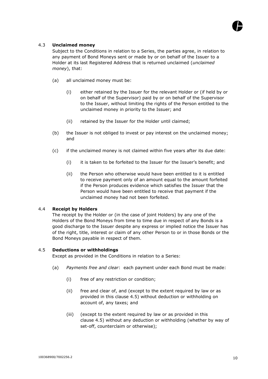

#### <span id="page-20-0"></span>4.3 **Unclaimed money**

Subject to the Conditions in relation to a Series, the parties agree, in relation to any payment of Bond Moneys sent or made by or on behalf of the Issuer to a Holder at its last Registered Address that is returned unclaimed (*unclaimed money*), that:

- (a) all unclaimed money must be:
	- (i) either retained by the Issuer for the relevant Holder or (if held by or on behalf of the Supervisor) paid by or on behalf of the Supervisor to the Issuer, without limiting the rights of the Person entitled to the unclaimed money in priority to the Issuer; and
	- (ii) retained by the Issuer for the Holder until claimed;
- (b) the Issuer is not obliged to invest or pay interest on the unclaimed money; and
- (c) if the unclaimed money is not claimed within five years after its due date:
	- (i) it is taken to be forfeited to the Issuer for the Issuer's benefit; and
	- (ii) the Person who otherwise would have been entitled to it is entitled to receive payment only of an amount equal to the amount forfeited if the Person produces evidence which satisfies the Issuer that the Person would have been entitled to receive that payment if the unclaimed money had not been forfeited.

#### <span id="page-20-1"></span>4.4 **Receipt by Holders**

The receipt by the Holder or (in the case of joint Holders) by any one of the Holders of the Bond Moneys from time to time due in respect of any Bonds is a good discharge to the Issuer despite any express or implied notice the Issuer has of the right, title, interest or claim of any other Person to or in those Bonds or the Bond Moneys payable in respect of them.

#### <span id="page-20-2"></span>4.5 **Deductions or withholdings**

Except as provided in the Conditions in relation to a Series:

- (a) *Payments free and clear*: each payment under each Bond must be made:
	- (i) free of any restriction or condition;
	- (ii) free and clear of, and (except to the extent required by law or as provided in this clause 4.5) without deduction or withholding on account of, any taxes; and
	- (iii) (except to the extent required by law or as provided in this clause 4.5) without any deduction or withholding (whether by way of set-off, counterclaim or otherwise);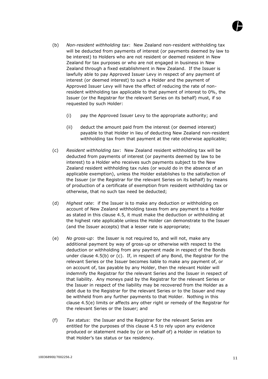- (b) *Non-resident withholding tax*: New Zealand non-resident withholding tax will be deducted from payments of interest (or payments deemed by law to be interest) to Holders who are not resident or deemed resident in New Zealand for tax purposes or who are not engaged in business in New Zealand through a fixed establishment in New Zealand. If the Issuer is lawfully able to pay Approved Issuer Levy in respect of any payment of interest (or deemed interest) to such a Holder and the payment of Approved Issuer Levy will have the effect of reducing the rate of nonresident withholding tax applicable to that payment of interest to 0%, the Issuer (or the Registrar for the relevant Series on its behalf) must, if so requested by such Holder:
	- (i) pay the Approved Issuer Levy to the appropriate authority; and
	- (ii) deduct the amount paid from the interest (or deemed interest) payable to that Holder in lieu of deducting New Zealand non-resident withholding tax from that payment at the rate otherwise applicable;
- (c) *Resident withholding tax*: New Zealand resident withholding tax will be deducted from payments of interest (or payments deemed by law to be interest) to a Holder who receives such payments subject to the New Zealand resident withholding tax rules (or would do in the absence of an applicable exemption), unless the Holder establishes to the satisfaction of the Issuer (or the Registrar for the relevant Series on its behalf) by means of production of a certificate of exemption from resident withholding tax or otherwise, that no such tax need be deducted;
- (d) *Highest rate*: if the Issuer is to make any deduction or withholding on account of New Zealand withholding taxes from any payment to a Holder as stated in this clause 4.5, it must make the deduction or withholding at the highest rate applicable unless the Holder can demonstrate to the Issuer (and the Issuer accepts) that a lesser rate is appropriate;
- (e) *No gross-up*: the Issuer is not required to, and will not, make any additional payment by way of gross-up or otherwise with respect to the deduction or withholding from any payment made in respect of the Bonds under clause 4.5(b) or (c). If, in respect of any Bond, the Registrar for the relevant Series or the Issuer becomes liable to make any payment of, or on account of, tax payable by any Holder, then the relevant Holder will indemnify the Registrar for the relevant Series and the Issuer in respect of that liability. Any moneys paid by the Registrar for the relevant Series or the Issuer in respect of the liability may be recovered from the Holder as a debt due to the Registrar for the relevant Series or to the Issuer and may be withheld from any further payments to that Holder. Nothing in this clause 4.5(e) limits or affects any other right or remedy of the Registrar for the relevant Series or the Issuer; and
- (f) *Tax status*: the Issuer and the Registrar for the relevant Series are entitled for the purposes of this clause 4.5 to rely upon any evidence produced or statement made by (or on behalf of) a Holder in relation to that Holder's tax status or tax residency.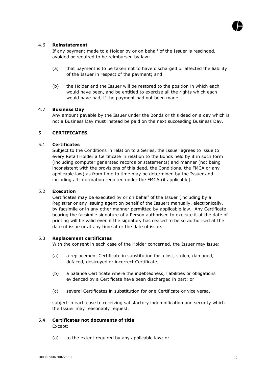#### <span id="page-22-0"></span>4.6 **Reinstatement**

If any payment made to a Holder by or on behalf of the Issuer is rescinded, avoided or required to be reimbursed by law:

- (a) that payment is to be taken not to have discharged or affected the liability of the Issuer in respect of the payment; and
- (b) the Holder and the Issuer will be restored to the position in which each would have been, and be entitled to exercise all the rights which each would have had, if the payment had not been made.

#### <span id="page-22-1"></span>4.7 **Business Day**

Any amount payable by the Issuer under the Bonds or this deed on a day which is not a Business Day must instead be paid on the next succeeding Business Day.

#### <span id="page-22-2"></span>5 **CERTIFICATES**

#### <span id="page-22-3"></span>5.1 **Certificates**

Subject to the Conditions in relation to a Series, the Issuer agrees to issue to every Retail Holder a Certificate in relation to the Bonds held by it in such form (including computer generated records or statements) and manner (not being inconsistent with the provisions of this deed, the Conditions, the FMCA or any applicable law) as from time to time may be determined by the Issuer and including all information required under the FMCA (if applicable).

#### <span id="page-22-4"></span>5.2 **Execution**

Certificates may be executed by or on behalf of the Issuer (including by a Registrar or any issuing agent on behalf of the Issuer) manually, electronically, by facsimile or in any other manner permitted by applicable law. Any Certificate bearing the facsimile signature of a Person authorised to execute it at the date of printing will be valid even if the signatory has ceased to be so authorised at the date of issue or at any time after the date of issue.

#### <span id="page-22-5"></span>5.3 **Replacement certificates**

With the consent in each case of the Holder concerned, the Issuer may issue:

- (a) a replacement Certificate in substitution for a lost, stolen, damaged, defaced, destroyed or incorrect Certificate;
- (b) a balance Certificate where the indebtedness, liabilities or obligations evidenced by a Certificate have been discharged in part; or
- (c) several Certificates in substitution for one Certificate or vice versa,

subject in each case to receiving satisfactory indemnification and security which the Issuer may reasonably request.

#### <span id="page-22-6"></span>5.4 **Certificates not documents of title** Except:

(a) to the extent required by any applicable law; or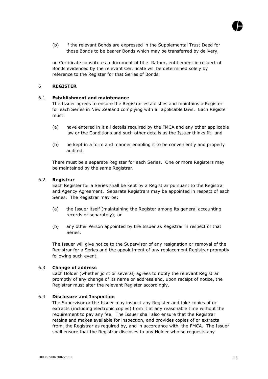

(b) if the relevant Bonds are expressed in the Supplemental Trust Deed for those Bonds to be bearer Bonds which may be transferred by delivery,

no Certificate constitutes a document of title. Rather, entitlement in respect of Bonds evidenced by the relevant Certificate will be determined solely by reference to the Register for that Series of Bonds.

#### <span id="page-23-0"></span>6 **REGISTER**

#### <span id="page-23-1"></span>6.1 **Establishment and maintenance**

The Issuer agrees to ensure the Registrar establishes and maintains a Register for each Series in New Zealand complying with all applicable laws. Each Register must:

- (a) have entered in it all details required by the FMCA and any other applicable law or the Conditions and such other details as the Issuer thinks fit; and
- (b) be kept in a form and manner enabling it to be conveniently and properly audited.

There must be a separate Register for each Series. One or more Registers may be maintained by the same Registrar.

#### <span id="page-23-2"></span>6.2 **Registrar**

Each Register for a Series shall be kept by a Registrar pursuant to the Registrar and Agency Agreement. Separate Registrars may be appointed in respect of each Series. The Registrar may be:

- (a) the Issuer itself (maintaining the Register among its general accounting records or separately); or
- (b) any other Person appointed by the Issuer as Registrar in respect of that Series.

The Issuer will give notice to the Supervisor of any resignation or removal of the Registrar for a Series and the appointment of any replacement Registrar promptly following such event.

#### <span id="page-23-3"></span>6.3 **Change of address**

Each Holder (whether joint or several) agrees to notify the relevant Registrar promptly of any change of its name or address and, upon receipt of notice, the Registrar must alter the relevant Register accordingly.

#### <span id="page-23-4"></span>6.4 **Disclosure and Inspection**

The Supervisor or the Issuer may inspect any Register and take copies of or extracts (including electronic copies) from it at any reasonable time without the requirement to pay any fee. The Issuer shall also ensure that the Registrar retains and makes available for inspection, and provides copies of or extracts from, the Registrar as required by, and in accordance with, the FMCA. The Issuer shall ensure that the Registrar discloses to any Holder who so requests any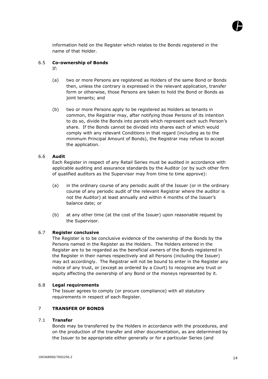

information held on the Register which relates to the Bonds registered in the name of that Holder.

#### <span id="page-24-0"></span>6.5 **Co-ownership of Bonds**

If:

- (a) two or more Persons are registered as Holders of the same Bond or Bonds then, unless the contrary is expressed in the relevant application, transfer form or otherwise, those Persons are taken to hold the Bond or Bonds as joint tenants; and
- (b) two or more Persons apply to be registered as Holders as tenants in common, the Registrar may, after notifying those Persons of its intention to do so, divide the Bonds into parcels which represent each such Person's share. If the Bonds cannot be divided into shares each of which would comply with any relevant Conditions in that regard (including as to the minimum Principal Amount of Bonds), the Registrar may refuse to accept the application.

#### <span id="page-24-1"></span>6.6 **Audit**

Each Register in respect of any Retail Series must be audited in accordance with applicable auditing and assurance standards by the Auditor (or by such other firm of qualified auditors as the Supervisor may from time to time approve):

- (a) in the ordinary course of any periodic audit of the Issuer (or in the ordinary course of any periodic audit of the relevant Registrar where the auditor is not the Auditor) at least annually and within 4 months of the Issuer's balance date; or
- (b) at any other time (at the cost of the Issuer) upon reasonable request by the Supervisor.

#### <span id="page-24-2"></span>6.7 **Register conclusive**

The Register is to be conclusive evidence of the ownership of the Bonds by the Persons named in the Register as the Holders. The Holders entered in the Register are to be regarded as the beneficial owners of the Bonds registered in the Register in their names respectively and all Persons (including the Issuer) may act accordingly. The Registrar will not be bound to enter in the Register any notice of any trust, or (except as ordered by a Court) to recognise any trust or equity affecting the ownership of any Bond or the moneys represented by it.

#### <span id="page-24-3"></span>6.8 **Legal requirements**

The Issuer agrees to comply (or procure compliance) with all statutory requirements in respect of each Register.

### <span id="page-24-4"></span>7 **TRANSFER OF BONDS**

#### <span id="page-24-5"></span>7.1 **Transfer**

Bonds may be transferred by the Holders in accordance with the procedures, and on the production of the transfer and other documentation, as are determined by the Issuer to be appropriate either generally or for a particular Series (and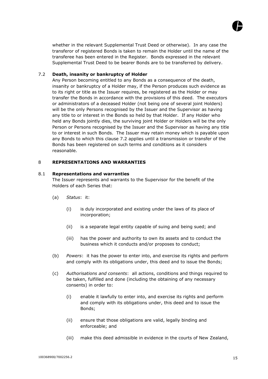

whether in the relevant Supplemental Trust Deed or otherwise). In any case the transferor of registered Bonds is taken to remain the Holder until the name of the transferee has been entered in the Register. Bonds expressed in the relevant Supplemental Trust Deed to be bearer Bonds are to be transferred by delivery.

#### <span id="page-25-0"></span>7.2 **Death, insanity or bankruptcy of Holder**

Any Person becoming entitled to any Bonds as a consequence of the death, insanity or bankruptcy of a Holder may, if the Person produces such evidence as to its right or title as the Issuer requires, be registered as the Holder or may transfer the Bonds in accordance with the provisions of this deed. The executors or administrators of a deceased Holder (not being one of several joint Holders) will be the only Persons recognised by the Issuer and the Supervisor as having any title to or interest in the Bonds so held by that Holder. If any Holder who held any Bonds jointly dies, the surviving joint Holder or Holders will be the only Person or Persons recognised by the Issuer and the Supervisor as having any title to or interest in such Bonds. The Issuer may retain money which is payable upon any Bonds to which this clause 7.2 applies until a transmission or transfer of the Bonds has been registered on such terms and conditions as it considers reasonable.

#### <span id="page-25-1"></span>8 **REPRESENTATIONS AND WARRANTIES**

#### <span id="page-25-2"></span>8.1 **Representations and warranties**

The Issuer represents and warrants to the Supervisor for the benefit of the Holders of each Series that:

- (a) *Status*: it:
	- (i) is duly incorporated and existing under the laws of its place of incorporation;
	- (ii) is a separate legal entity capable of suing and being sued; and
	- (iii) has the power and authority to own its assets and to conduct the business which it conducts and/or proposes to conduct;
- (b) *Powers*: it has the power to enter into, and exercise its rights and perform and comply with its obligations under, this deed and to issue the Bonds;
- (c) *Authorisations and consents*: all actions, conditions and things required to be taken, fulfilled and done (including the obtaining of any necessary consents) in order to:
	- (i) enable it lawfully to enter into, and exercise its rights and perform and comply with its obligations under, this deed and to issue the Bonds;
	- (ii) ensure that those obligations are valid, legally binding and enforceable; and
	- (iii) make this deed admissible in evidence in the courts of New Zealand,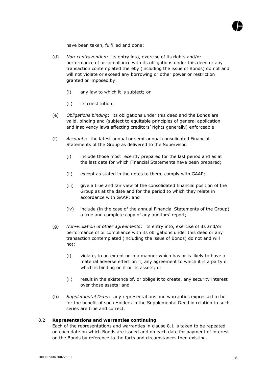

have been taken, fulfilled and done;

- (d) *Non-contravention*: its entry into, exercise of its rights and/or performance of or compliance with its obligations under this deed or any transaction contemplated thereby (including the issue of Bonds) do not and will not violate or exceed any borrowing or other power or restriction granted or imposed by:
	- (i) any law to which it is subject; or
	- (ii) its constitution;
- (e) *Obligations binding*: its obligations under this deed and the Bonds are valid, binding and (subject to equitable principles of general application and insolvency laws affecting creditors' rights generally) enforceable;
- (f) *Accounts*: the latest annual or semi-annual consolidated Financial Statements of the Group as delivered to the Supervisor:
	- (i) include those most recently prepared for the last period and as at the last date for which Financial Statements have been prepared;
	- (ii) except as stated in the notes to them, comply with GAAP;
	- (iii) give a true and fair view of the consolidated financial position of the Group as at the date and for the period to which they relate in accordance with GAAP; and
	- (iv) include (in the case of the annual Financial Statements of the Group) a true and complete copy of any auditors' report;
- (g) *Non-violation of other agreements*: its entry into, exercise of its and/or performance of or compliance with its obligations under this deed or any transaction contemplated (including the issue of Bonds) do not and will not:
	- (i) violate, to an extent or in a manner which has or is likely to have a material adverse effect on it, any agreement to which it is a party or which is binding on it or its assets; or
	- (ii) result in the existence of, or oblige it to create, any security interest over those assets; and
- (h) *Supplemental Deed*: any representations and warranties expressed to be for the benefit of such Holders in the Supplemental Deed in relation to such series are true and correct.

#### <span id="page-26-0"></span>8.2 **Representations and warranties continuing**

Each of the representations and warranties in clause 8.1 is taken to be repeated on each date on which Bonds are issued and on each date for payment of interest on the Bonds by reference to the facts and circumstances then existing.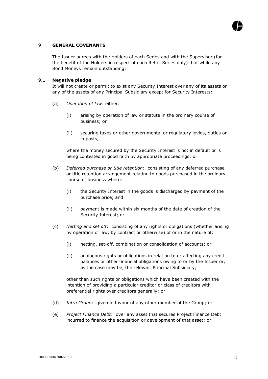

#### <span id="page-27-0"></span>9 **GENERAL COVENANTS**

The Issuer agrees with the Holders of each Series and with the Supervisor (for the benefit of the Holders in respect of each Retail Series only) that while any Bond Moneys remain outstanding:

#### <span id="page-27-1"></span>9.1 **Negative pledge**

It will not create or permit to exist any Security Interest over any of its assets or any of the assets of any Principal Subsidiary except for Security Interests:

- (a) *Operation of law*: either:
	- (i) arising by operation of law or statute in the ordinary course of business; or
	- (ii) securing taxes or other governmental or regulatory levies, duties or imposts,

where the money secured by the Security Interest is not in default or is being contested in good faith by appropriate proceedings; or

- (b) *Deferred purchase or title retention*: consisting of any deferred purchase or title retention arrangement relating to goods purchased in the ordinary course of business where:
	- (i) the Security Interest in the goods is discharged by payment of the purchase price; and
	- (ii) payment is made within six months of the date of creation of the Security Interest; or
- (c) *Netting and set off*: consisting of any rights or obligations (whether arising by operation of law, by contract or otherwise) of or in the nature of:
	- (i) netting, set-off, combination or consolidation of accounts; or
	- (ii) analogous rights or obligations in relation to or affecting any credit balances or other financial obligations owing to or by the Issuer or, as the case may be, the relevant Principal Subsidiary,

other than such rights or obligations which have been created with the intention of providing a particular creditor or class of creditors with preferential rights over creditors generally; or

- (d) *Intra Group*: given in favour of any other member of the Group; or
- (e) *Project Finance Debt*: over any asset that secures Project Finance Debt incurred to finance the acquisition or development of that asset; or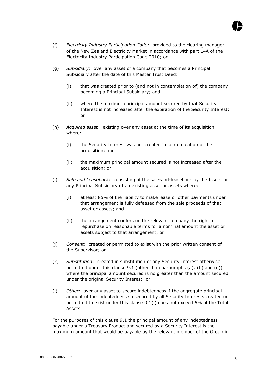

- (f) *Electricity Industry Participation Code*: provided to the clearing manager of the New Zealand Electricity Market in accordance with part 14A of the Electricity Industry Participation Code 2010; or
- (g) *Subsidiary*: over any asset of a company that becomes a Principal Subsidiary after the date of this Master Trust Deed:
	- (i) that was created prior to (and not in contemplation of) the company becoming a Principal Subsidiary; and
	- (ii) where the maximum principal amount secured by that Security Interest is not increased after the expiration of the Security Interest; or
- (h) *Acquired asset*: existing over any asset at the time of its acquisition where:
	- (i) the Security Interest was not created in contemplation of the acquisition; and
	- (ii) the maximum principal amount secured is not increased after the acquisition; or
- (i) *Sale and Leaseback*: consisting of the sale-and-leaseback by the Issuer or any Principal Subsidiary of an existing asset or assets where:
	- (i) at least 85% of the liability to make lease or other payments under that arrangement is fully defeased from the sale proceeds of that asset or assets; and
	- (ii) the arrangement confers on the relevant company the right to repurchase on reasonable terms for a nominal amount the asset or assets subject to that arrangement; or
- (j) *Consent*: created or permitted to exist with the prior written consent of the Supervisor; or
- (k) *Substitution*: created in substitution of any Security Interest otherwise permitted under this clause 9.1 (other than paragraphs (a), (b) and (c)) where the principal amount secured is no greater than the amount secured under the original Security Interest; or
- (l) *Other*: over any asset to secure indebtedness if the aggregate principal amount of the indebtedness so secured by all Security Interests created or permitted to exist under this clause 9.1(l) does not exceed 5% of the Total Assets.

For the purposes of this clause 9.1 the principal amount of any indebtedness payable under a Treasury Product and secured by a Security Interest is the maximum amount that would be payable by the relevant member of the Group in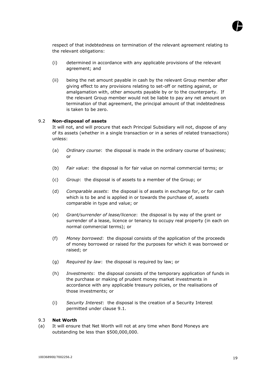

respect of that indebtedness on termination of the relevant agreement relating to the relevant obligations:

- (i) determined in accordance with any applicable provisions of the relevant agreement; and
- (ii) being the net amount payable in cash by the relevant Group member after giving effect to any provisions relating to set-off or netting against, or amalgamation with, other amounts payable by or to the counterparty. If the relevant Group member would not be liable to pay any net amount on termination of that agreement, the principal amount of that indebtedness is taken to be zero.

#### <span id="page-29-0"></span>9.2 **Non-disposal of assets**

It will not, and will procure that each Principal Subsidiary will not, dispose of any of its assets (whether in a single transaction or in a series of related transactions) unless:

- (a) *Ordinary course*: the disposal is made in the ordinary course of business; or
- (b) *Fair value*: the disposal is for fair value on normal commercial terms; or
- (c) *Group*: the disposal is of assets to a member of the Group; or
- (d) *Comparable assets*: the disposal is of assets in exchange for, or for cash which is to be and is applied in or towards the purchase of, assets comparable in type and value; or
- (e) *Grant/surrender of lease/licence*: the disposal is by way of the grant or surrender of a lease, licence or tenancy to occupy real property (in each on normal commercial terms); or
- (f) *Money borrowed*: the disposal consists of the application of the proceeds of money borrowed or raised for the purposes for which it was borrowed or raised; or
- (g) *Required by law*: the disposal is required by law; or
- (h) *Investments*: the disposal consists of the temporary application of funds in the purchase or making of prudent money market investments in accordance with any applicable treasury policies, or the realisations of those investments; or
- (i) *Security Interest*: the disposal is the creation of a Security Interest permitted under clause 9.1.

#### <span id="page-29-1"></span>9.3 **Net Worth**

(a) It will ensure that Net Worth will not at any time when Bond Moneys are outstanding be less than \$500,000,000.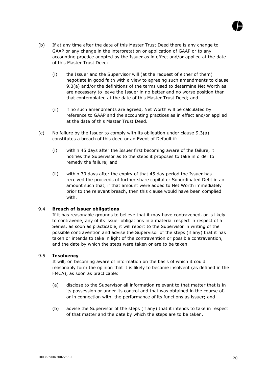

- (b) If at any time after the date of this Master Trust Deed there is any change to GAAP or any change in the interpretation or application of GAAP or to any accounting practice adopted by the Issuer as in effect and/or applied at the date of this Master Trust Deed:
	- (i) the Issuer and the Supervisor will (at the request of either of them) negotiate in good faith with a view to agreeing such amendments to clause 9.3(a) and/or the definitions of the terms used to determine Net Worth as are necessary to leave the Issuer in no better and no worse position than that contemplated at the date of this Master Trust Deed; and
	- (ii) if no such amendments are agreed, Net Worth will be calculated by reference to GAAP and the accounting practices as in effect and/or applied at the date of this Master Trust Deed.
- (c) No failure by the Issuer to comply with its obligation under clause 9.3(a) constitutes a breach of this deed or an Event of Default if:
	- (i) within 45 days after the Issuer first becoming aware of the failure, it notifies the Supervisor as to the steps it proposes to take in order to remedy the failure; and
	- (ii) within 30 days after the expiry of that 45 day period the Issuer has received the proceeds of further share capital or Subordinated Debt in an amount such that, if that amount were added to Net Worth immediately prior to the relevant breach, then this clause would have been complied with.

#### <span id="page-30-0"></span>9.4 **Breach of issuer obligations**

If it has reasonable grounds to believe that it may have contravened, or is likely to contravene, any of its issuer obligations in a material respect in respect of a Series, as soon as practicable, it will report to the Supervisor in writing of the possible contravention and advise the Supervisor of the steps (if any) that it has taken or intends to take in light of the contravention or possible contravention, and the date by which the steps were taken or are to be taken.

#### <span id="page-30-1"></span>9.5 **Insolvency**

It will, on becoming aware of information on the basis of which it could reasonably form the opinion that it is likely to become insolvent (as defined in the FMCA), as soon as practicable:

- (a) disclose to the Supervisor all information relevant to that matter that is in its possession or under its control and that was obtained in the course of, or in connection with, the performance of its functions as issuer; and
- (b) advise the Supervisor of the steps (if any) that it intends to take in respect of that matter and the date by which the steps are to be taken.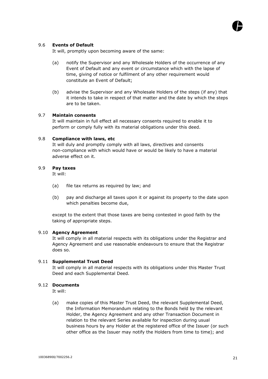

#### <span id="page-31-0"></span>9.6 **Events of Default**

It will, promptly upon becoming aware of the same:

- (a) notify the Supervisor and any Wholesale Holders of the occurrence of any Event of Default and any event or circumstance which with the lapse of time, giving of notice or fulfilment of any other requirement would constitute an Event of Default;
- (b) advise the Supervisor and any Wholesale Holders of the steps (if any) that it intends to take in respect of that matter and the date by which the steps are to be taken.

#### <span id="page-31-1"></span>9.7 **Maintain consents**

It will maintain in full effect all necessary consents required to enable it to perform or comply fully with its material obligations under this deed.

#### <span id="page-31-2"></span>9.8 **Compliance with laws, etc**

It will duly and promptly comply with all laws, directives and consents non-compliance with which would have or would be likely to have a material adverse effect on it.

#### <span id="page-31-3"></span>9.9 **Pay taxes**

It will:

- (a) file tax returns as required by law; and
- (b) pay and discharge all taxes upon it or against its property to the date upon which penalties become due,

except to the extent that those taxes are being contested in good faith by the taking of appropriate steps.

#### <span id="page-31-4"></span>9.10 **Agency Agreement**

It will comply in all material respects with its obligations under the Registrar and Agency Agreement and use reasonable endeavours to ensure that the Registrar does so.

#### <span id="page-31-5"></span>9.11 **Supplemental Trust Deed**

It will comply in all material respects with its obligations under this Master Trust Deed and each Supplemental Deed.

#### <span id="page-31-6"></span>9.12 **Documents**

It will:

(a) make copies of this Master Trust Deed, the relevant Supplemental Deed, the Information Memorandum relating to the Bonds held by the relevant Holder, the Agency Agreement and any other Transaction Document in relation to the relevant Series available for inspection during usual business hours by any Holder at the registered office of the Issuer (or such other office as the Issuer may notify the Holders from time to time); and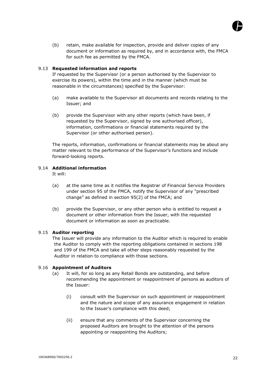

(b) retain, make available for inspection, provide and deliver copies of any document or information as required by, and in accordance with, the FMCA for such fee as permitted by the FMCA.

#### 9.13 **Requested information and reports**

If requested by the Supervisor (or a person authorised by the Supervisor to exercise its powers), within the time and in the manner (which must be reasonable in the circumstances) specified by the Supervisor:

- (a) make available to the Supervisor all documents and records relating to the Issuer; and
- (b) provide the Supervisor with any other reports (which have been, if requested by the Supervisor, signed by one authorised officer), information, confirmations or financial statements required by the Supervisor (or other authorised person).

The reports, information, confirmations or financial statements may be about any matter relevant to the performance of the Supervisor's functions and include forward-looking reports.

#### 9.14 **Additional information**

It will:

- (a) at the same time as it notifies the Registrar of Financial Service Providers under section 95 of the FMCA, notify the Supervisor of any "prescribed change" as defined in section 95(2) of the FMCA; and
- (b) provide the Supervisor, or any other person who is entitled to request a document or other information from the Issuer, with the requested document or information as soon as practicable.

#### <span id="page-32-0"></span>9.15 **Auditor reporting**

The Issuer will provide any information to the Auditor which is required to enable the Auditor to comply with the reporting obligations contained in sections 198 and 199 of the FMCA and take all other steps reasonably requested by the Auditor in relation to compliance with those sections.

#### 9.16 **Appointment of Auditors**

- (a) It will, for so long as any Retail Bonds are outstanding, and before recommending the appointment or reappointment of persons as auditors of the Issuer:
	- (i) consult with the Supervisor on such appointment or reappointment and the nature and scope of any assurance engagement in relation to the Issuer's compliance with this deed;
	- (ii) ensure that any comments of the Supervisor concerning the proposed Auditors are brought to the attention of the persons appointing or reappointing the Auditors;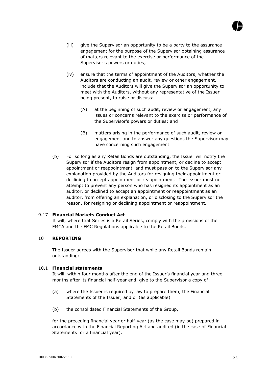

- (iii) give the Supervisor an opportunity to be a party to the assurance engagement for the purpose of the Supervisor obtaining assurance of matters relevant to the exercise or performance of the Supervisor's powers or duties;
- (iv) ensure that the terms of appointment of the Auditors, whether the Auditors are conducting an audit, review or other engagement, include that the Auditors will give the Supervisor an opportunity to meet with the Auditors, without any representative of the Issuer being present, to raise or discuss:
	- (A) at the beginning of such audit, review or engagement, any issues or concerns relevant to the exercise or performance of the Supervisor's powers or duties; and
	- (B) matters arising in the performance of such audit, review or engagement and to answer any questions the Supervisor may have concerning such engagement.
- (b) For so long as any Retail Bonds are outstanding, the Issuer will notify the Supervisor if the Auditors resign from appointment, or decline to accept appointment or reappointment, and must pass on to the Supervisor any explanation provided by the Auditors for resigning their appointment or declining to accept appointment or reappointment. The Issuer must not attempt to prevent any person who has resigned its appointment as an auditor, or declined to accept an appointment or reappointment as an auditor, from offering an explanation, or disclosing to the Supervisor the reason, for resigning or declining appointment or reappointment.

#### <span id="page-33-0"></span>9.17 **Financial Markets Conduct Act**

It will, where that Series is a Retail Series, comply with the provisions of the FMCA and the FMC Regulations applicable to the Retail Bonds.

#### <span id="page-33-1"></span>10 **REPORTING**

The Issuer agrees with the Supervisor that while any Retail Bonds remain outstanding:

#### <span id="page-33-2"></span>10.1 **Financial statements**

It will, within four months after the end of the Issuer's financial year and three months after its financial half-year end, give to the Supervisor a copy of:

- (a) where the Issuer is required by law to prepare them, the Financial Statements of the Issuer; and or (as applicable)
- (b) the consolidated Financial Statements of the Group,

for the preceding financial year or half-year (as the case may be) prepared in accordance with the Financial Reporting Act and audited (in the case of Financial Statements for a financial year).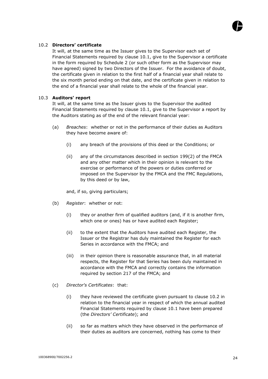

#### <span id="page-34-0"></span>10.2 **Directors' certificate**

It will, at the same time as the Issuer gives to the Supervisor each set of Financial Statements required by clause 10.1, give to the Supervisor a certificate in the form required by Schedule 2 (or such other form as the Supervisor may have agreed) signed by two Directors of the Issuer. For the avoidance of doubt, the certificate given in relation to the first half of a financial year shall relate to the six month period ending on that date, and the certificate given in relation to the end of a financial year shall relate to the whole of the financial year.

#### <span id="page-34-1"></span>10.3 **Auditors' report**

It will, at the same time as the Issuer gives to the Supervisor the audited Financial Statements required by clause 10.1, give to the Supervisor a report by the Auditors stating as of the end of the relevant financial year:

- (a) *Breaches*: whether or not in the performance of their duties as Auditors they have become aware of:
	- (i) any breach of the provisions of this deed or the Conditions; or
	- (ii) any of the circumstances described in section 199(2) of the FMCA and any other matter which in their opinion is relevant to the exercise or performance of the powers or duties conferred or imposed on the Supervisor by the FMCA and the FMC Regulations, by this deed or by law,

and, if so, giving particulars;

- (b) *Register*: whether or not:
	- (i) they or another firm of qualified auditors (and, if it is another firm, which one or ones) has or have audited each Register;
	- (ii) to the extent that the Auditors have audited each Register, the Issuer or the Registrar has duly maintained the Register for each Series in accordance with the FMCA; and
	- (iii) in their opinion there is reasonable assurance that, in all material respects, the Register for that Series has been duly maintained in accordance with the FMCA and correctly contains the information required by section 217 of the FMCA; and
- (c) *Director's Certificates*: that:
	- (i) they have reviewed the certificate given pursuant to clause 10.2 in relation to the financial year in respect of which the annual audited Financial Statements required by clause 10.1 have been prepared (the *Directors' Certificate*); and
	- (ii) so far as matters which they have observed in the performance of their duties as auditors are concerned, nothing has come to their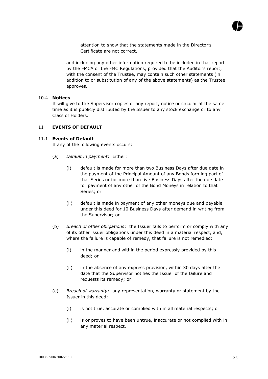

attention to show that the statements made in the Director's Certificate are not correct,

and including any other information required to be included in that report by the FMCA or the FMC Regulations, provided that the Auditor's report, with the consent of the Trustee, may contain such other statements (in addition to or substitution of any of the above statements) as the Trustee approves.

#### <span id="page-35-0"></span>10.4 **Notices**

It will give to the Supervisor copies of any report, notice or circular at the same time as it is publicly distributed by the Issuer to any stock exchange or to any Class of Holders.

#### <span id="page-35-1"></span>11 **EVENTS OF DEFAULT**

#### <span id="page-35-2"></span>11.1 **Events of Default**

If any of the following events occurs:

- (a) *Default in payment*: Either:
	- (i) default is made for more than two Business Days after due date in the payment of the Principal Amount of any Bonds forming part of that Series or for more than five Business Days after the due date for payment of any other of the Bond Moneys in relation to that Series; or
	- (ii) default is made in payment of any other moneys due and payable under this deed for 10 Business Days after demand in writing from the Supervisor; or
- (b) *Breach of other obligations*: the Issuer fails to perform or comply with any of its other issuer obligations under this deed in a material respect, and, where the failure is capable of remedy, that failure is not remedied:
	- (i) in the manner and within the period expressly provided by this deed; or
	- (ii) in the absence of any express provision, within 30 days after the date that the Supervisor notifies the Issuer of the failure and requests its remedy; or
- (c) *Breach of warranty*: any representation, warranty or statement by the Issuer in this deed:
	- (i) is not true, accurate or complied with in all material respects; or
	- (ii) is or proves to have been untrue, inaccurate or not complied with in any material respect,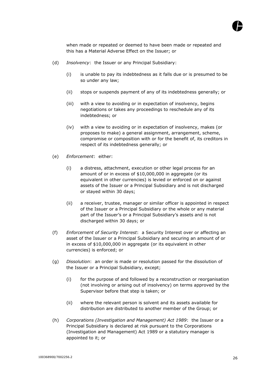

when made or repeated or deemed to have been made or repeated and this has a Material Adverse Effect on the Issuer; or

- (d) *Insolvency*: the Issuer or any Principal Subsidiary:
	- (i) is unable to pay its indebtedness as it falls due or is presumed to be so under any law;
	- (ii) stops or suspends payment of any of its indebtedness generally; or
	- (iii) with a view to avoiding or in expectation of insolvency, begins negotiations or takes any proceedings to reschedule any of its indebtedness; or
	- (iv) with a view to avoiding or in expectation of insolvency, makes (or proposes to make) a general assignment, arrangement, scheme, compromise or composition with or for the benefit of, its creditors in respect of its indebtedness generally; or
- (e) *Enforcement*: either:
	- (i) a distress, attachment, execution or other legal process for an amount of or in excess of \$10,000,000 in aggregate (or its equivalent in other currencies) is levied or enforced on or against assets of the Issuer or a Principal Subsidiary and is not discharged or stayed within 30 days;
	- (ii) a receiver, trustee, manager or similar officer is appointed in respect of the Issuer or a Principal Subsidiary or the whole or any material part of the Issuer's or a Principal Subsidiary's assets and is not discharged within 30 days; or
- (f) *Enforcement of Security Interest*: a Security Interest over or affecting an asset of the Issuer or a Principal Subsidiary and securing an amount of or in excess of \$10,000,000 in aggregate (or its equivalent in other currencies) is enforced; or
- (g) *Dissolution*: an order is made or resolution passed for the dissolution of the Issuer or a Principal Subsidiary, except;
	- (i) for the purpose of and followed by a reconstruction or reorganisation (not involving or arising out of insolvency) on terms approved by the Supervisor before that step is taken; or
	- (ii) where the relevant person is solvent and its assets available for distribution are distributed to another member of the Group; or
- (h) *Corporations (Investigation and Management) Act 1989*: the Issuer or a Principal Subsidiary is declared at risk pursuant to the Corporations (Investigation and Management) Act 1989 or a statutory manager is appointed to it; or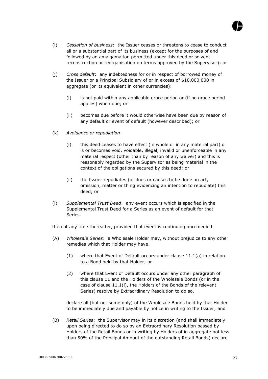

- (i) *Cessation of business*: the Issuer ceases or threatens to cease to conduct all or a substantial part of its business (except for the purposes of and followed by an amalgamation permitted under this deed or solvent reconstruction or reorganisation on terms approved by the Supervisor); or
- (j) *Cross default*: any indebtedness for or in respect of borrowed money of the Issuer or a Principal Subsidiary of or in excess of \$10,000,000 in aggregate (or its equivalent in other currencies):
	- (i) is not paid within any applicable grace period or (if no grace period applies) when due; or
	- (ii) becomes due before it would otherwise have been due by reason of any default or event of default (however described); or
- (k) *Avoidance or repudiation*:
	- (i) this deed ceases to have effect (in whole or in any material part) or is or becomes void, voidable, illegal, invalid or unenforceable in any material respect (other than by reason of any waiver) and this is reasonably regarded by the Supervisor as being material in the context of the obligations secured by this deed; or
	- (ii) the Issuer repudiates (or does or causes to be done an act, omission, matter or thing evidencing an intention to repudiate) this deed; or
- (l) *Supplemental Trust Deed*: any event occurs which is specified in the Supplemental Trust Deed for a Series as an event of default for that Series.

then at any time thereafter, provided that event is continuing unremedied:

- (A) *Wholesale Series*: a Wholesale Holder may, without prejudice to any other remedies which that Holder may have:
	- (1) where that Event of Default occurs under clause 11.1(a) in relation to a Bond held by that Holder; or
	- (2) where that Event of Default occurs under any other paragraph of this clause 11 and the Holders of the Wholesale Bonds (or in the case of clause 11.1(l), the Holders of the Bonds of the relevant Series) resolve by Extraordinary Resolution to do so,

declare all (but not some only) of the Wholesale Bonds held by that Holder to be immediately due and payable by notice in writing to the Issuer; and

(B) *Retail Series*: the Supervisor may in its discretion (and shall immediately upon being directed to do so by an Extraordinary Resolution passed by Holders of the Retail Bonds or in writing by Holders of in aggregate not less than 50% of the Principal Amount of the outstanding Retail Bonds) declare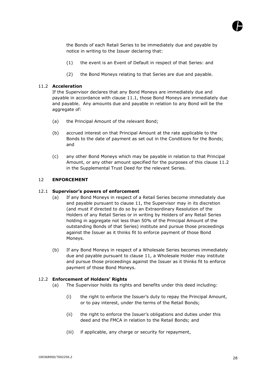

the Bonds of each Retail Series to be immediately due and payable by notice in writing to the Issuer declaring that:

- (1) the event is an Event of Default in respect of that Series: and
- (2) the Bond Moneys relating to that Series are due and payable.

# 11.2 **Acceleration**

If the Supervisor declares that any Bond Moneys are immediately due and payable in accordance with clause 11.1, those Bond Moneys are immediately due and payable. Any amounts due and payable in relation to any Bond will be the aggregate of:

- (a) the Principal Amount of the relevant Bond;
- (b) accrued interest on that Principal Amount at the rate applicable to the Bonds to the date of payment as set out in the Conditions for the Bonds; and
- (c) any other Bond Moneys which may be payable in relation to that Principal Amount, or any other amount specified for the purposes of this clause 11.2 in the Supplemental Trust Deed for the relevant Series.

# 12 **ENFORCEMENT**

#### 12.1 **Supervisor's powers of enforcement**

- (a) If any Bond Moneys in respect of a Retail Series become immediately due and payable pursuant to clause 11, the Supervisor may in its discretion (and must if directed to do so by an Extraordinary Resolution of the Holders of any Retail Series or in writing by Holders of any Retail Series holding in aggregate not less than 50% of the Principal Amount of the outstanding Bonds of that Series) institute and pursue those proceedings against the Issuer as it thinks fit to enforce payment of those Bond Moneys.
- (b) If any Bond Moneys in respect of a Wholesale Series becomes immediately due and payable pursuant to clause 11, a Wholesale Holder may institute and pursue those proceedings against the Issuer as it thinks fit to enforce payment of those Bond Moneys.

#### 12.2 **Enforcement of Holders' Rights**

- (a) The Supervisor holds its rights and benefits under this deed including:
	- (i) the right to enforce the Issuer's duty to repay the Principal Amount, or to pay interest, under the terms of the Retail Bonds;
	- (ii) the right to enforce the Issuer's obligations and duties under this deed and the FMCA in relation to the Retail Bonds; and
	- (iii) if applicable, any charge or security for repayment,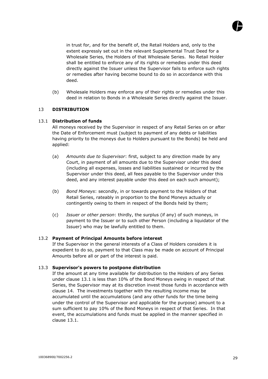

in trust for, and for the benefit of, the Retail Holders and, only to the extent expressly set out in the relevant Supplemental Trust Deed for a Wholesale Series, the Holders of that Wholesale Series. No Retail Holder shall be entitled to enforce any of its rights or remedies under this deed directly against the Issuer unless the Supervisor fails to enforce such rights or remedies after having become bound to do so in accordance with this deed.

(b) Wholesale Holders may enforce any of their rights or remedies under this deed in relation to Bonds in a Wholesale Series directly against the Issuer.

# 13 **DISTRIBUTION**

#### 13.1 **Distribution of funds**

All moneys received by the Supervisor in respect of any Retail Series on or after the Date of Enforcement must (subject to payment of any debts or liabilities having priority to the moneys due to Holders pursuant to the Bonds) be held and applied:

- (a) *Amounts due to Supervisor*: first, subject to any direction made by any Court, in payment of all amounts due to the Supervisor under this deed (including all expenses, losses and liabilities sustained or incurred by the Supervisor under this deed, all fees payable to the Supervisor under this deed, and any interest payable under this deed on each such amount);
- (b) *Bond Moneys*: secondly, in or towards payment to the Holders of that Retail Series, rateably in proportion to the Bond Moneys actually or contingently owing to them in respect of the Bonds held by them;
- (c) *Issuer or other person*: thirdly, the surplus (if any) of such moneys, in payment to the Issuer or to such other Person (including a liquidator of the Issuer) who may be lawfully entitled to them.

#### 13.2 **Payment of Principal Amounts before interest**

If the Supervisor in the general interests of a Class of Holders considers it is expedient to do so, payment to that Class may be made on account of Principal Amounts before all or part of the interest is paid.

#### 13.3 **Supervisor's powers to postpone distribution**

If the amount at any time available for distribution to the Holders of any Series under clause 13.1 is less than 10% of the Bond Moneys owing in respect of that Series, the Supervisor may at its discretion invest those funds in accordance with clause 14. The investments together with the resulting income may be accumulated until the accumulations (and any other funds for the time being under the control of the Supervisor and applicable for the purpose) amount to a sum sufficient to pay 10% of the Bond Moneys in respect of that Series. In that event, the accumulations and funds must be applied in the manner specified in clause 13.1.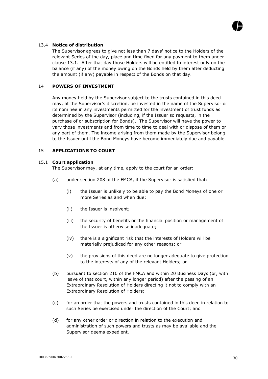

#### 13.4 **Notice of distribution**

The Supervisor agrees to give not less than 7 days' notice to the Holders of the relevant Series of the day, place and time fixed for any payment to them under clause 13.1. After that day those Holders will be entitled to interest only on the balance (if any) of the money owing on the Bonds held by them after deducting the amount (if any) payable in respect of the Bonds on that day.

#### 14 **POWERS OF INVESTMENT**

Any money held by the Supervisor subject to the trusts contained in this deed may, at the Supervisor's discretion, be invested in the name of the Supervisor or its nominee in any investments permitted for the investment of trust funds as determined by the Supervisor (including, if the Issuer so requests, in the purchase of or subscription for Bonds). The Supervisor will have the power to vary those investments and from time to time to deal with or dispose of them or any part of them. The income arising from them made by the Supervisor belong to the Issuer until the Bond Moneys have become immediately due and payable.

# 15 **APPLICATIONS TO COURT**

#### 15.1 **Court application**

The Supervisor may, at any time, apply to the court for an order:

- (a) under section 208 of the FMCA, if the Supervisor is satisfied that:
	- (i) the Issuer is unlikely to be able to pay the Bond Moneys of one or more Series as and when due;
	- (ii) the Issuer is insolvent;
	- (iii) the security of benefits or the financial position or management of the Issuer is otherwise inadequate;
	- (iv) there is a significant risk that the interests of Holders will be materially prejudiced for any other reasons; or
	- (v) the provisions of this deed are no longer adequate to give protection to the interests of any of the relevant Holders; or
- (b) pursuant to section 210 of the FMCA and within 20 Business Days (or, with leave of that court, within any longer period) after the passing of an Extraordinary Resolution of Holders directing it not to comply with an Extraordinary Resolution of Holders;
- (c) for an order that the powers and trusts contained in this deed in relation to such Series be exercised under the direction of the Court; and
- (d) for any other order or direction in relation to the execution and administration of such powers and trusts as may be available and the Supervisor deems expedient.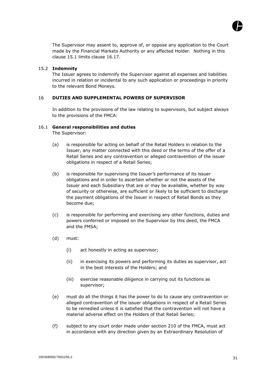

The Supervisor may assent to, approve of, or oppose any application to the Court made by the Financial Markets Authority or any affected Holder. Nothing in this clause 15.1 limits clause 16.17.

#### 15.2 **Indemnity**

The Issuer agrees to indemnify the Supervisor against all expenses and liabilities incurred in relation or incidental to any such application or proceedings in priority to the relevant Bond Moneys.

# 16 **DUTIES AND SUPPLEMENTAL POWERS OF SUPERVISOR**

In addition to the provisions of the law relating to supervisors, but subject always to the provisions of the FMCA:

#### 16.1 **General responsibilities and duties**

The Supervisor:

- (a) is responsible for acting on behalf of the Retail Holders in relation to the Issuer, any matter connected with this deed or the terms of the offer of a Retail Series and any contravention or alleged contravention of the issuer obligations in respect of a Retail Series;
- (b) is responsible for supervising the Issuer's performance of its issuer obligations and in order to ascertain whether or not the assets of the Issuer and each Subsidiary that are or may be available, whether by way of security or otherwise, are sufficient or likely to be sufficient to discharge the payment obligations of the Issuer in respect of Retail Bonds as they become due;
- (c) is responsible for performing and exercising any other functions, duties and powers conferred or imposed on the Supervisor by this deed, the FMCA and the FMSA;
- (d) must:
	- (i) act honestly in acting as supervisor;
	- (ii) in exercising its powers and performing its duties as supervisor, act in the best interests of the Holders; and
	- (iii) exercise reasonable diligence in carrying out its functions as supervisor;
- (e) must do all the things it has the power to do to cause any contravention or alleged contravention of the issuer obligations in respect of a Retail Series to be remedied unless it is satisfied that the contravention will not have a material adverse effect on the Holders of that Retail Series;
- (f) subject to any court order made under section 210 of the FMCA, must act in accordance with any direction given by an Extraordinary Resolution of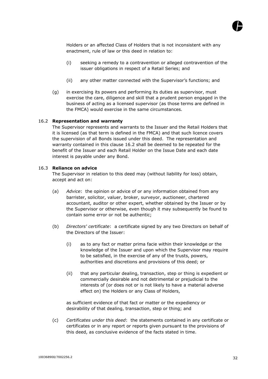

Holders or an affected Class of Holders that is not inconsistent with any enactment, rule of law or this deed in relation to:

- (i) seeking a remedy to a contravention or alleged contravention of the issuer obligations in respect of a Retail Series; and
- (ii) any other matter connected with the Supervisor's functions; and
- (g) in exercising its powers and performing its duties as supervisor, must exercise the care, diligence and skill that a prudent person engaged in the business of acting as a licensed supervisor (as those terms are defined in the FMCA) would exercise in the same circumstances.

#### 16.2 **Representation and warranty**

The Supervisor represents and warrants to the Issuer and the Retail Holders that it is licensed (as that term is defined in the FMCA) and that such licence covers the supervision of all Bonds issued under this deed. The representation and warranty contained in this clause 16.2 shall be deemed to be repeated for the benefit of the Issuer and each Retail Holder on the Issue Date and each date interest is payable under any Bond.

#### 16.3 **Reliance on advice**

The Supervisor in relation to this deed may (without liability for loss) obtain, accept and act on:

- (a) *Advice*: the opinion or advice of or any information obtained from any barrister, solicitor, valuer, broker, surveyor, auctioneer, chartered accountant, auditor or other expert, whether obtained by the Issuer or by the Supervisor or otherwise, even though it may subsequently be found to contain some error or not be authentic;
- (b) *Directors' certificate*: a certificate signed by any two Directors on behalf of the Directors of the Issuer:
	- (i) as to any fact or matter prima facie within their knowledge or the knowledge of the Issuer and upon which the Supervisor may require to be satisfied, in the exercise of any of the trusts, powers, authorities and discretions and provisions of this deed; or
	- (ii) that any particular dealing, transaction, step or thing is expedient or commercially desirable and not detrimental or prejudicial to the interests of (or does not or is not likely to have a material adverse effect on) the Holders or any Class of Holders,

as sufficient evidence of that fact or matter or the expediency or desirability of that dealing, transaction, step or thing; and

(c) *Certificates under this deed*: the statements contained in any certificate or certificates or in any report or reports given pursuant to the provisions of this deed, as conclusive evidence of the facts stated in time.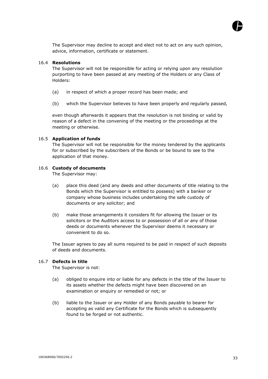

The Supervisor may decline to accept and elect not to act on any such opinion, advice, information, certificate or statement.

#### 16.4 **Resolutions**

The Supervisor will not be responsible for acting or relying upon any resolution purporting to have been passed at any meeting of the Holders or any Class of Holders:

- (a) in respect of which a proper record has been made; and
- (b) which the Supervisor believes to have been properly and regularly passed,

even though afterwards it appears that the resolution is not binding or valid by reason of a defect in the convening of the meeting or the proceedings at the meeting or otherwise.

#### 16.5 **Application of funds**

The Supervisor will not be responsible for the money tendered by the applicants for or subscribed by the subscribers of the Bonds or be bound to see to the application of that money.

#### 16.6 **Custody of documents**

The Supervisor may:

- (a) place this deed (and any deeds and other documents of title relating to the Bonds which the Supervisor is entitled to possess) with a banker or company whose business includes undertaking the safe custody of documents or any solicitor; and
- (b) make those arrangements it considers fit for allowing the Issuer or its solicitors or the Auditors access to or possession of all or any of those deeds or documents whenever the Supervisor deems it necessary or convenient to do so.

The Issuer agrees to pay all sums required to be paid in respect of such deposits of deeds and documents.

#### 16.7 **Defects in title**

The Supervisor is not:

- (a) obliged to enquire into or liable for any defects in the title of the Issuer to its assets whether the defects might have been discovered on an examination or enquiry or remedied or not; or
- (b) liable to the Issuer or any Holder of any Bonds payable to bearer for accepting as valid any Certificate for the Bonds which is subsequently found to be forged or not authentic.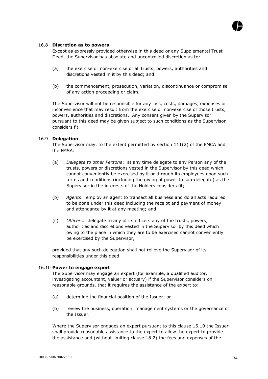

#### 16.8 **Discretion as to powers**

Except as expressly provided otherwise in this deed or any Supplemental Trust Deed, the Supervisor has absolute and uncontrolled discretion as to:

- (a) the exercise or non-exercise of all trusts, powers, authorities and discretions vested in it by this deed; and
- (b) the commencement, prosecution, variation, discontinuance or compromise of any action proceeding or claim.

The Supervisor will not be responsible for any loss, costs, damages, expenses or inconvenience that may result from the exercise or non-exercise of those trusts, powers, authorities and discretions. Any consent given by the Supervisor pursuant to this deed may be given subject to such conditions as the Supervisor considers fit.

#### 16.9 **Delegation**

The Supervisor may, to the extent permitted by section 111(2) of the FMCA and the FMSA:

- (a) *Delegate to other Persons*: at any time delegate to any Person any of the trusts, powers or discretions vested in the Supervisor by this deed which cannot conveniently be exercised by it or through its employees upon such terms and conditions (including the giving of power to sub-delegate) as the Supervisor in the interests of the Holders considers fit;
- (b) *Agents*: employ an agent to transact all business and do all acts required to be done under this deed including the receipt and payment of money and attendance by it at any meeting; and
- (c) *Officers*: delegate to any of its officers any of the trusts, powers, authorities and discretions vested in the Supervisor by this deed which owing to the place in which they are to be exercised cannot conveniently be exercised by the Supervisor,

provided that any such delegation shall not relieve the Supervisor of its responsibilities under this deed.

#### 16.10 **Power to engage expert**

The Supervisor may engage an expert (for example, a qualified auditor, investigating accountant, valuer or actuary) if the Supervisor considers on reasonable grounds, that it requires the assistance of the expert to:

- (a) determine the financial position of the Issuer; or
- (b) review the business, operation, management systems or the governance of the Issuer.

Where the Supervisor engages an expert pursuant to this clause 16.10 the Issuer shall provide reasonable assistance to the expert to allow the expert to provide the assistance and (without limiting clause 18.2) the fees and expenses of the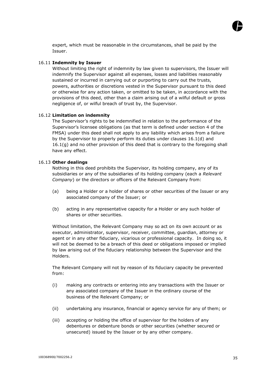

expert, which must be reasonable in the circumstances, shall be paid by the Issuer.

#### 16.11 **Indemnity by Issuer**

Without limiting the right of indemnity by law given to supervisors, the Issuer will indemnify the Supervisor against all expenses, losses and liabilities reasonably sustained or incurred in carrying out or purporting to carry out the trusts, powers, authorities or discretions vested in the Supervisor pursuant to this deed or otherwise for any action taken, or omitted to be taken, in accordance with the provisions of this deed, other than a claim arising out of a wilful default or gross negligence of, or wilful breach of trust by, the Supervisor.

#### 16.12 **Limitation on indemnity**

The Supervisor's rights to be indemnified in relation to the performance of the Supervisor's licensee obligations (as that term is defined under section 4 of the FMSA) under this deed shall not apply to any liability which arises from a failure by the Supervisor to properly perform its duties under clauses 16.1(d) and  $16.1(q)$  and no other provision of this deed that is contrary to the foregoing shall have any effect.

#### 16.13 **Other dealings**

Nothing in this deed prohibits the Supervisor, its holding company, any of its subsidiaries or any of the subsidiaries of its holding company (each a *Relevant Company*) or the directors or officers of the Relevant Company from:

- (a) being a Holder or a holder of shares or other securities of the Issuer or any associated company of the Issuer; or
- (b) acting in any representative capacity for a Holder or any such holder of shares or other securities.

Without limitation, the Relevant Company may so act on its own account or as executor, administrator, supervisor, receiver, committee, guardian, attorney or agent or in any other fiduciary, vicarious or professional capacity. In doing so, it will not be deemed to be a breach of this deed or obligations imposed or implied by law arising out of the fiduciary relationship between the Supervisor and the Holders.

The Relevant Company will not by reason of its fiduciary capacity be prevented from:

- (i) making any contracts or entering into any transactions with the Issuer or any associated company of the Issuer in the ordinary course of the business of the Relevant Company; or
- (ii) undertaking any insurance, financial or agency service for any of them; or
- (iii) accepting or holding the office of supervisor for the holders of any debentures or debenture bonds or other securities (whether secured or unsecured) issued by the Issuer or by any other company.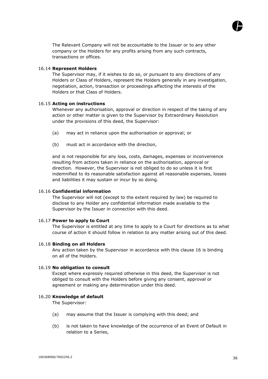

The Relevant Company will not be accountable to the Issuer or to any other company or the Holders for any profits arising from any such contracts, transactions or offices.

#### 16.14 **Represent Holders**

The Supervisor may, if it wishes to do so, or pursuant to any directions of any Holders or Class of Holders, represent the Holders generally in any investigation, negotiation, action, transaction or proceedings affecting the interests of the Holders or that Class of Holders.

#### 16.15 **Acting on instructions**

Whenever any authorisation, approval or direction in respect of the taking of any action or other matter is given to the Supervisor by Extraordinary Resolution under the provisions of this deed, the Supervisor:

- (a) may act in reliance upon the authorisation or approval; or
- (b) must act in accordance with the direction,

and is not responsible for any loss, costs, damages, expenses or inconvenience resulting from actions taken in reliance on the authorisation, approval or direction. However, the Supervisor is not obliged to do so unless it is first indemnified to its reasonable satisfaction against all reasonable expenses, losses and liabilities it may sustain or incur by so doing.

#### 16.16 **Confidential information**

The Supervisor will not (except to the extent required by law) be required to disclose to any Holder any confidential information made available to the Supervisor by the Issuer in connection with this deed.

# 16.17 **Power to apply to Court**

The Supervisor is entitled at any time to apply to a Court for directions as to what course of action it should follow in relation to any matter arising out of this deed.

#### 16.18 **Binding on all Holders**

Any action taken by the Supervisor in accordance with this clause 16 is binding on all of the Holders.

#### 16.19 **No obligation to consult**

Except where expressly required otherwise in this deed, the Supervisor is not obliged to consult with the Holders before giving any consent, approval or agreement or making any determination under this deed.

#### 16.20 **Knowledge of default**

The Supervisor:

- (a) may assume that the Issuer is complying with this deed; and
- (b) is not taken to have knowledge of the occurrence of an Event of Default in relation to a Series,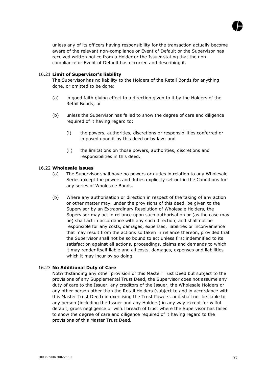

unless any of its officers having responsibility for the transaction actually become aware of the relevant non-compliance or Event of Default or the Supervisor has received written notice from a Holder or the Issuer stating that the noncompliance or Event of Default has occurred and describing it.

# 16.21 **Limit of Supervisor's liability**

The Supervisor has no liability to the Holders of the Retail Bonds for anything done, or omitted to be done:

- (a) in good faith giving effect to a direction given to it by the Holders of the Retail Bonds; or
- (b) unless the Supervisor has failed to show the degree of care and diligence required of it having regard to:
	- (i) the powers, authorities, discretions or responsibilities conferred or imposed upon it by this deed or by law; and
	- (ii) the limitations on those powers, authorities, discretions and responsibilities in this deed.

#### 16.22 **Wholesale issues**

- (a) The Supervisor shall have no powers or duties in relation to any Wholesale Series except the powers and duties explicitly set out in the Conditions for any series of Wholesale Bonds.
- (b) Where any authorisation or direction in respect of the taking of any action or other matter may, under the provisions of this deed, be given to the Supervisor by an Extraordinary Resolution of Wholesale Holders, the Supervisor may act in reliance upon such authorisation or (as the case may be) shall act in accordance with any such direction, and shall not be responsible for any costs, damages, expenses, liabilities or inconvenience that may result from the actions so taken in reliance thereon, provided that the Supervisor shall not be so bound to act unless first indemnified to its satisfaction against all actions, proceedings, claims and demands to which it may render itself liable and all costs, damages, expenses and liabilities which it may incur by so doing.

# 16.23 **No Additional Duty of Care**

Notwithstanding any other provision of this Master Trust Deed but subject to the provisions of any Supplemental Trust Deed, the Supervisor does not assume any duty of care to the Issuer, any creditors of the Issuer, the Wholesale Holders or any other person other than the Retail Holders (subject to and in accordance with this Master Trust Deed) in exercising the Trust Powers, and shall not be liable to any person (including the Issuer and any Holders) in any way except for wilful default, gross negligence or wilful breach of trust where the Supervisor has failed to show the degree of care and diligence required of it having regard to the provisions of this Master Trust Deed.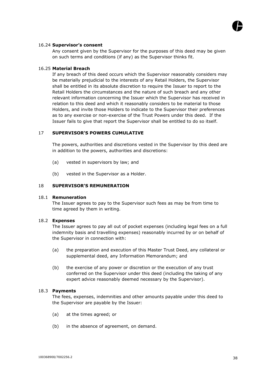

#### 16.24 **Supervisor's consent**

Any consent given by the Supervisor for the purposes of this deed may be given on such terms and conditions (if any) as the Supervisor thinks fit.

### 16.25 **Material Breach**

If any breach of this deed occurs which the Supervisor reasonably considers may be materially prejudicial to the interests of any Retail Holders, the Supervisor shall be entitled in its absolute discretion to require the Issuer to report to the Retail Holders the circumstances and the nature of such breach and any other relevant information concerning the Issuer which the Supervisor has received in relation to this deed and which it reasonably considers to be material to those Holders, and invite those Holders to indicate to the Supervisor their preferences as to any exercise or non-exercise of the Trust Powers under this deed. If the Issuer fails to give that report the Supervisor shall be entitled to do so itself.

#### 17 **SUPERVISOR'S POWERS CUMULATIVE**

The powers, authorities and discretions vested in the Supervisor by this deed are in addition to the powers, authorities and discretions:

- (a) vested in supervisors by law; and
- (b) vested in the Supervisor as a Holder.

#### 18 **SUPERVISOR'S REMUNERATION**

#### 18.1 **Remuneration**

The Issuer agrees to pay to the Supervisor such fees as may be from time to time agreed by them in writing.

#### 18.2 **Expenses**

The Issuer agrees to pay all out of pocket expenses (including legal fees on a full indemnity basis and travelling expenses) reasonably incurred by or on behalf of the Supervisor in connection with:

- (a) the preparation and execution of this Master Trust Deed, any collateral or supplemental deed, any Information Memorandum; and
- (b) the exercise of any power or discretion or the execution of any trust conferred on the Supervisor under this deed (including the taking of any expert advice reasonably deemed necessary by the Supervisor).

#### 18.3 **Payments**

The fees, expenses, indemnities and other amounts payable under this deed to the Supervisor are payable by the Issuer:

- (a) at the times agreed; or
- (b) in the absence of agreement, on demand.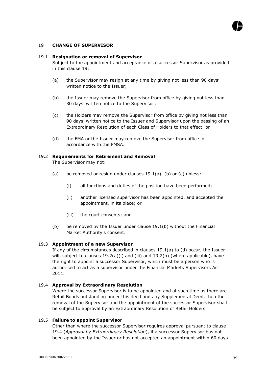

#### 19 **CHANGE OF SUPERVISOR**

#### 19.1 **Resignation or removal of Supervisor**

Subject to the appointment and acceptance of a successor Supervisor as provided in this clause 19:

- (a) the Supervisor may resign at any time by giving not less than 90 days' written notice to the Issuer;
- (b) the Issuer may remove the Supervisor from office by giving not less than 30 days' written notice to the Supervisor;
- (c) the Holders may remove the Supervisor from office by giving not less than 90 days' written notice to the Issuer and Supervisor upon the passing of an Extraordinary Resolution of each Class of Holders to that effect; or
- (d) the FMA or the Issuer may remove the Supervisor from office in accordance with the FMSA.

#### 19.2 **Requirements for Retirement and Removal**

The Supervisor may not:

- (a) be removed or resign under clauses 19.1(a), (b) or (c) unless:
	- (i) all functions and duties of the position have been performed;
	- (ii) another licensed supervisor has been appointed, and accepted the appointment, in its place; or
	- (iii) the court consents; and
- (b) be removed by the Issuer under clause 19.1(b) without the Financial Market Authority's consent.

#### 19.3 **Appointment of a new Supervisor**

If any of the circumstances described in clauses 19.1(a) to (d) occur, the Issuer will, subject to clauses  $19.2(a)(i)$  and (iii) and  $19.2(b)$  (where applicable), have the right to appoint a successor Supervisor, which must be a person who is authorised to act as a supervisor under the Financial Markets Supervisors Act 2011.

#### 19.4 **Approval by Extraordinary Resolution**

Where the successor Supervisor is to be appointed and at such time as there are Retail Bonds outstanding under this deed and any Supplemental Deed, then the removal of the Supervisor and the appointment of the successor Supervisor shall be subject to approval by an Extraordinary Resolution of Retail Holders.

#### 19.5 **Failure to appoint Supervisor**

Other than where the successor Supervisor requires approval pursuant to clause 19.4 (*Approval by Extraordinary Resolution*), if a successor Supervisor has not been appointed by the Issuer or has not accepted an appointment within 60 days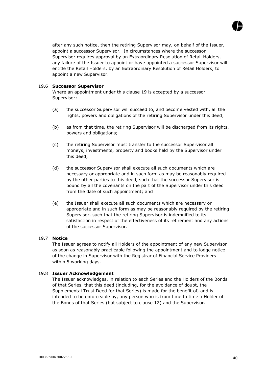

after any such notice, then the retiring Supervisor may, on behalf of the Issuer, appoint a successor Supervisor. In circumstances where the successor Supervisor requires approval by an Extraordinary Resolution of Retail Holders, any failure of the Issuer to appoint or have appointed a successor Supervisor will entitle the Retail Holders, by an Extraordinary Resolution of Retail Holders, to appoint a new Supervisor.

#### 19.6 **Successor Supervisor**

Where an appointment under this clause 19 is accepted by a successor Supervisor:

- (a) the successor Supervisor will succeed to, and become vested with, all the rights, powers and obligations of the retiring Supervisor under this deed;
- (b) as from that time, the retiring Supervisor will be discharged from its rights, powers and obligations;
- (c) the retiring Supervisor must transfer to the successor Supervisor all moneys, investments, property and books held by the Supervisor under this deed;
- (d) the successor Supervisor shall execute all such documents which are necessary or appropriate and in such form as may be reasonably required by the other parties to this deed, such that the successor Supervisor is bound by all the covenants on the part of the Supervisor under this deed from the date of such appointment; and
- (e) the Issuer shall execute all such documents which are necessary or appropriate and in such form as may be reasonably required by the retiring Supervisor, such that the retiring Supervisor is indemnified to its satisfaction in respect of the effectiveness of its retirement and any actions of the successor Supervisor.

# 19.7 **Notice**

The Issuer agrees to notify all Holders of the appointment of any new Supervisor as soon as reasonably practicable following the appointment and to lodge notice of the change in Supervisor with the Registrar of Financial Service Providers within 5 working days.

#### 19.8 **Issuer Acknowledgement**

The Issuer acknowledges, in relation to each Series and the Holders of the Bonds of that Series, that this deed (including, for the avoidance of doubt, the Supplemental Trust Deed for that Series) is made for the benefit of, and is intended to be enforceable by, any person who is from time to time a Holder of the Bonds of that Series (but subject to clause 12) and the Supervisor.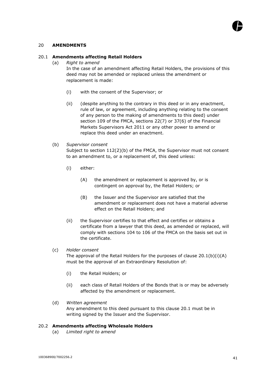

#### 20 **AMENDMENTS**

#### 20.1 **Amendments affecting Retail Holders**

(a) *Right to amend*

In the case of an amendment affecting Retail Holders, the provisions of this deed may not be amended or replaced unless the amendment or replacement is made:

- (i) with the consent of the Supervisor; or
- (ii) (despite anything to the contrary in this deed or in any enactment, rule of law, or agreement, including anything relating to the consent of any person to the making of amendments to this deed) under section 109 of the FMCA, sections 22(7) or 37(6) of the Financial Markets Supervisors Act 2011 or any other power to amend or replace this deed under an enactment.
- (b) *Supervisor consent*

Subject to section 112(2)(b) of the FMCA, the Supervisor must not consent to an amendment to, or a replacement of, this deed unless:

- (i) either:
	- (A) the amendment or replacement is approved by, or is contingent on approval by, the Retail Holders; or
	- (B) the Issuer and the Supervisor are satisfied that the amendment or replacement does not have a material adverse effect on the Retail Holders; and
- (ii) the Supervisor certifies to that effect and certifies or obtains a certificate from a lawyer that this deed, as amended or replaced, will comply with sections 104 to 106 of the FMCA on the basis set out in the certificate.

#### (c) *Holder consent*

The approval of the Retail Holders for the purposes of clause  $20.1(b)(i)(A)$ must be the approval of an Extraordinary Resolution of:

- (i) the Retail Holders; or
- (ii) each class of Retail Holders of the Bonds that is or may be adversely affected by the amendment or replacement.
- (d) *Written agreement* Any amendment to this deed pursuant to this clause 20.1 must be in writing signed by the Issuer and the Supervisor.

#### 20.2 **Amendments affecting Wholesale Holders**

(a) *Limited right to amend*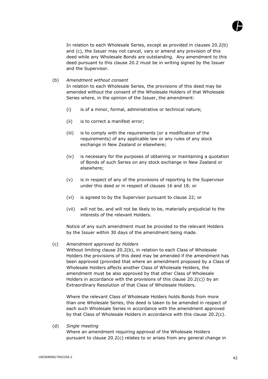

In relation to each Wholesale Series, except as provided in clauses 20.2(b) and (c), the Issuer may not cancel, vary or amend any provision of this deed while any Wholesale Bonds are outstanding. Any amendment to this deed pursuant to this clause 20.2 must be in writing signed by the Issuer and the Supervisor.

(b) *Amendment without consent*

In relation to each Wholesale Series, the provisions of this deed may be amended without the consent of the Wholesale Holders of that Wholesale Series where, in the opinion of the Issuer, the amendment:

- (i) is of a minor, formal, administrative or technical nature;
- (ii) is to correct a manifest error;
- (iii) is to comply with the requirements (or a modification of the requirements) of any applicable law or any rules of any stock exchange in New Zealand or elsewhere;
- (iv) is necessary for the purposes of obtaining or maintaining a quotation of Bonds of such Series on any stock exchange in New Zealand or elsewhere;
- (v) is in respect of any of the provisions of reporting to the Supervisor under this deed or in respect of clauses 16 and 18; or
- (vi) is agreed to by the Supervisor pursuant to clause 22; or
- (vii) will not be, and will not be likely to be, materially prejudicial to the interests of the relevant Holders.

Notice of any such amendment must be provided to the relevant Holders by the Issuer within 30 days of the amendment being made.

# (c) *Amendment approved by Holders*

Without limiting clause 20.2(b), in relation to each Class of Wholesale Holders the provisions of this deed may be amended if the amendment has been approved (provided that where an amendment proposed by a Class of Wholesale Holders affects another Class of Wholesale Holders, the amendment must be also approved by that other Class of Wholesale Holders in accordance with the provisions of this clause  $20.2(c)$ ) by an Extraordinary Resolution of that Class of Wholesale Holders.

Where the relevant Class of Wholesale Holders holds Bonds from more than one Wholesale Series, this deed is taken to be amended in respect of each such Wholesale Series in accordance with the amendment approved by that Class of Wholesale Holders in accordance with this clause 20.2(c).

(d) *Single meeting*

Where an amendment requiring approval of the Wholesale Holders pursuant to clause 20.2(c) relates to or arises from any general change in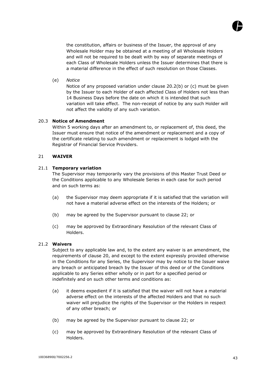

the constitution, affairs or business of the Issuer, the approval of any Wholesale Holder may be obtained at a meeting of all Wholesale Holders and will not be required to be dealt with by way of separate meetings of each Class of Wholesale Holders unless the Issuer determines that there is a material difference in the effect of such resolution on those Classes.

(e) *Notice*

Notice of any proposed variation under clause 20.2(b) or (c) must be given by the Issuer to each Holder of each affected Class of Holders not less than 14 Business Days before the date on which it is intended that such variation will take effect. The non-receipt of notice by any such Holder will not affect the validity of any such variation.

#### 20.3 **Notice of Amendment**

Within 5 working days after an amendment to, or replacement of, this deed, the Issuer must ensure that notice of the amendment or replacement and a copy of the certificate relating to such amendment or replacement is lodged with the Registrar of Financial Service Providers.

#### 21 **WAIVER**

#### 21.1 **Temporary variation**

The Supervisor may temporarily vary the provisions of this Master Trust Deed or the Conditions applicable to any Wholesale Series in each case for such period and on such terms as:

- (a) the Supervisor may deem appropriate if it is satisfied that the variation will not have a material adverse effect on the interests of the Holders; or
- (b) may be agreed by the Supervisor pursuant to clause 22; or
- (c) may be approved by Extraordinary Resolution of the relevant Class of Holders.

#### 21.2 **Waivers**

Subject to any applicable law and, to the extent any waiver is an amendment, the requirements of clause 20, and except to the extent expressly provided otherwise in the Conditions for any Series, the Supervisor may by notice to the Issuer waive any breach or anticipated breach by the Issuer of this deed or of the Conditions applicable to any Series either wholly or in part for a specified period or indefinitely and on such other terms and conditions as:

- (a) it deems expedient if it is satisfied that the waiver will not have a material adverse effect on the interests of the affected Holders and that no such waiver will prejudice the rights of the Supervisor or the Holders in respect of any other breach; or
- (b) may be agreed by the Supervisor pursuant to clause 22; or
- (c) may be approved by Extraordinary Resolution of the relevant Class of Holders.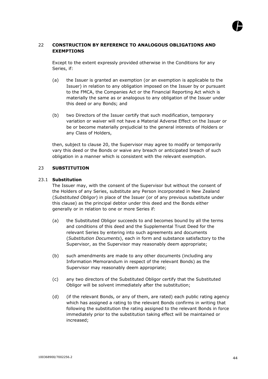# 22 **CONSTRUCTION BY REFERENCE TO ANALOGOUS OBLIGATIONS AND EXEMPTIONS**

Except to the extent expressly provided otherwise in the Conditions for any Series, if:

- (a) the Issuer is granted an exemption (or an exemption is applicable to the Issuer) in relation to any obligation imposed on the Issuer by or pursuant to the FMCA, the Companies Act or the Financial Reporting Act which is materially the same as or analogous to any obligation of the Issuer under this deed or any Bonds; and
- (b) two Directors of the Issuer certify that such modification, temporary variation or waiver will not have a Material Adverse Effect on the Issuer or be or become materially prejudicial to the general interests of Holders or any Class of Holders,

then, subject to clause 20, the Supervisor may agree to modify or temporarily vary this deed or the Bonds or waive any breach or anticipated breach of such obligation in a manner which is consistent with the relevant exemption.

# 23 **SUBSTITUTION**

#### 23.1 **Substitution**

The Issuer may, with the consent of the Supervisor but without the consent of the Holders of any Series, substitute any Person incorporated in New Zealand (*Substituted Obligor*) in place of the Issuer (or of any previous substitute under this clause) as the principal debtor under this deed and the Bonds either generally or in relation to one or more Series if:

- (a) the Substituted Obligor succeeds to and becomes bound by all the terms and conditions of this deed and the Supplemental Trust Deed for the relevant Series by entering into such agreements and documents (*Substitution Documents*), each in form and substance satisfactory to the Supervisor, as the Supervisor may reasonably deem appropriate;
- (b) such amendments are made to any other documents (including any Information Memorandum in respect of the relevant Bonds) as the Supervisor may reasonably deem appropriate;
- (c) any two directors of the Substituted Obligor certify that the Substituted Obligor will be solvent immediately after the substitution;
- (d) (if the relevant Bonds, or any of them, are rated) each public rating agency which has assigned a rating to the relevant Bonds confirms in writing that following the substitution the rating assigned to the relevant Bonds in force immediately prior to the substitution taking effect will be maintained or increased;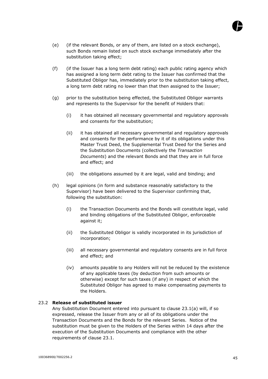

- (e) (if the relevant Bonds, or any of them, are listed on a stock exchange), such Bonds remain listed on such stock exchange immediately after the substitution taking effect;
- (f) (if the Issuer has a long term debt rating) each public rating agency which has assigned a long term debt rating to the Issuer has confirmed that the Substituted Obligor has, immediately prior to the substitution taking effect, a long term debt rating no lower than that then assigned to the Issuer;
- (g) prior to the substitution being effected, the Substituted Obligor warrants and represents to the Supervisor for the benefit of Holders that:
	- (i) it has obtained all necessary governmental and regulatory approvals and consents for the substitution;
	- (ii) it has obtained all necessary governmental and regulatory approvals and consents for the performance by it of its obligations under this Master Trust Deed, the Supplemental Trust Deed for the Series and the Substitution Documents (collectively the *Transaction Documents*) and the relevant Bonds and that they are in full force and effect; and
	- (iii) the obligations assumed by it are legal, valid and binding; and
- (h) legal opinions (in form and substance reasonably satisfactory to the Supervisor) have been delivered to the Supervisor confirming that, following the substitution:
	- (i) the Transaction Documents and the Bonds will constitute legal, valid and binding obligations of the Substituted Obligor, enforceable against it;
	- (ii) the Substituted Obligor is validly incorporated in its jurisdiction of incorporation;
	- (iii) all necessary governmental and regulatory consents are in full force and effect; and
	- (iv) amounts payable to any Holders will not be reduced by the existence of any applicable taxes (by deduction from such amounts or otherwise) except for such taxes (if any) in respect of which the Substituted Obligor has agreed to make compensating payments to the Holders.

# 23.2 **Release of substituted issuer**

Any Substitution Document entered into pursuant to clause 23.1(a) will, if so expressed, release the Issuer from any or all of its obligations under the Transaction Documents and the Bonds for the relevant Series. Notice of the substitution must be given to the Holders of the Series within 14 days after the execution of the Substitution Documents and compliance with the other requirements of clause 23.1.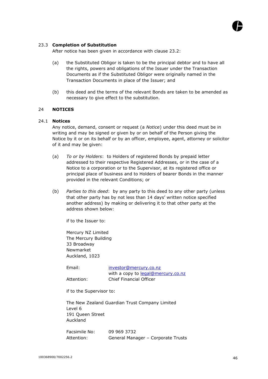

#### 23.3 **Completion of Substitution**

After notice has been given in accordance with clause 23.2:

- (a) the Substituted Obligor is taken to be the principal debtor and to have all the rights, powers and obligations of the Issuer under the Transaction Documents as if the Substituted Obligor were originally named in the Transaction Documents in place of the Issuer; and
- (b) this deed and the terms of the relevant Bonds are taken to be amended as necessary to give effect to the substitution.

#### 24 **NOTICES**

#### 24.1 **Notices**

Any notice, demand, consent or request (a *Notice*) under this deed must be in writing and may be signed or given by or on behalf of the Person giving the Notice by it or on its behalf or by an officer, employee, agent, attorney or solicitor of it and may be given:

- (a) *To or by Holders*: to Holders of registered Bonds by prepaid letter addressed to their respective Registered Addresses, or in the case of a Notice to a corporation or to the Supervisor, at its registered office or principal place of business and to Holders of bearer Bonds in the manner provided in the relevant Conditions; or
- (b) *Parties to this deed*: by any party to this deed to any other party (unless that other party has by not less than 14 days' written notice specified another address) by making or delivering it to that other party at the address shown below:

if to the Issuer to:

Mercury NZ Limited The Mercury Building 33 Broadway Newmarket Auckland, 1023

| Email:     | investor@mercury.co.nz             |
|------------|------------------------------------|
|            | with a copy to legal@mercury.co.nz |
| Attention: | Chief Financial Officer            |

if to the Supervisor to:

The New Zealand Guardian Trust Company Limited Level 6 191 Queen Street Auckland

Facsimile No: 09 969 3732 Attention: General Manager – Corporate Trusts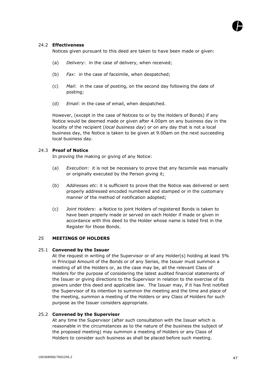# 24.2 **Effectiveness**

Notices given pursuant to this deed are taken to have been made or given:

- (a) *Delivery*: in the case of delivery, when received;
- (b) *Fax*: in the case of facsimile, when despatched;
- (c) *Mail*: in the case of posting, on the second day following the date of posting;
- (d) *Email*: in the case of email, when despatched.

However, (except in the case of Notices to or by the Holders of Bonds) if any Notice would be deemed made or given after 4.00pm on any business day in the locality of the recipient (*local business day*) or on any day that is not a local business day, the Notice is taken to be given at 9.00am on the next succeeding local business day.

# 24.3 **Proof of Notice**

In proving the making or giving of any Notice:

- (a) *Execution*: it is not be necessary to prove that any facsimile was manually or originally executed by the Person giving it;
- (b) *Addresses etc*: it is sufficient to prove that the Notice was delivered or sent properly addressed encoded numbered and stamped or in the customary manner of the method of notification adopted;
- (c) *Joint Holders*: a Notice to joint Holders of registered Bonds is taken to have been properly made or served on each Holder if made or given in accordance with this deed to the Holder whose name is listed first in the Register for those Bonds.

# 25 **MEETINGS OF HOLDERS**

#### 25.1 **Convened by the Issuer**

At the request in writing of the Supervisor or of any Holder(s) holding at least 5% in Principal Amount of the Bonds or of any Series, the Issuer must summon a meeting of all the Holders or, as the case may be, all the relevant Class of Holders for the purpose of considering the latest audited financial statements of the Issuer or giving directions to the Supervisor in relation to the exercise of its powers under this deed and applicable law. The Issuer may, if it has first notified the Supervisor of its intention to summon the meeting and the time and place of the meeting, summon a meeting of the Holders or any Class of Holders for such purpose as the Issuer considers appropriate.

# 25.2 **Convened by the Supervisor**

At any time the Supervisor (after such consultation with the Issuer which is reasonable in the circumstances as to the nature of the business the subject of the proposed meeting) may summon a meeting of Holders or any Class of Holders to consider such business as shall be placed before such meeting.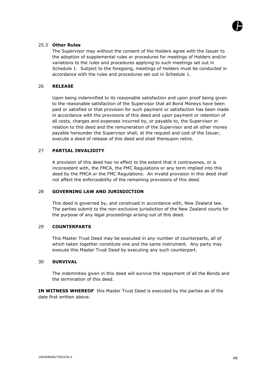

# 25.3 **Other Rules**

The Supervisor may without the consent of the Holders agree with the Issuer to the adoption of supplemental rules or procedures for meetings of Holders and/or variations to the rules and procedures applying to such meetings set out in Schedule 1. Subject to the foregoing, meetings of Holders must be conducted in accordance with the rules and procedures set out in Schedule 1.

# 26 **RELEASE**

Upon being indemnified to its reasonable satisfaction and upon proof being given to the reasonable satisfaction of the Supervisor that all Bond Moneys have been paid or satisfied or that provision for such payment or satisfaction has been made in accordance with the provisions of this deed and upon payment or retention of all costs, charges and expenses incurred by, or payable to, the Supervisor in relation to this deed and the remuneration of the Supervisor and all other money payable hereunder the Supervisor shall, at the request and cost of the Issuer, execute a deed of release of this deed and shall thereupon retire.

#### 27 **PARTIAL INVALIDITY**

A provision of this deed has no effect to the extent that it contravenes, or is inconsistent with, the FMCA, the FMC Regulations or any term implied into this deed by the FMCA or the FMC Regulations. An invalid provision in this deed shall not affect the enforceability of the remaining provisions of this deed.

#### 28 **GOVERNING LAW AND JURISDICTION**

This deed is governed by, and construed in accordance with, New Zealand law. The parties submit to the non-exclusive jurisdiction of the New Zealand courts for the purpose of any legal proceedings arising out of this deed.

#### 29 **COUNTERPARTS**

This Master Trust Deed may be executed in any number of counterparts, all of which taken together constitute one and the same instrument. Any party may execute this Master Trust Deed by executing any such counterpart.

#### 30 **SURVIVAL**

The indemnities given in this deed will survive the repayment of all the Bonds and the termination of this deed.

**IN WITNESS WHEREOF** this Master Trust Deed is executed by the parties as of the date first written above.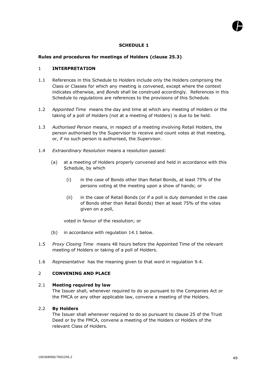# **SCHEDULE 1**

# **Rules and procedures for meetings of Holders (clause 25.3)**

### 1 **INTERPRETATION**

- 1.1 References in this Schedule to *Holders* include only the Holders comprising the Class or Classes for which any meeting is convened, except where the context indicates otherwise, and *Bonds* shall be construed accordingly. References in this Schedule to *regulations* are references to the provisions of this Schedule.
- 1.2 *Appointed Time* means the day and time at which any meeting of Holders or the taking of a poll of Holders (not at a meeting of Holders) is due to be held.
- 1.3 *Authorised Person* means, in respect of a meeting involving Retail Holders, the person authorised by the Supervisor to receive and count votes at that meeting, or, if no such person is authorised, the Supervisor.
- 1.4 *Extraordinary Resolution* means a resolution passed:
	- (a) at a meeting of Holders properly convened and held in accordance with this Schedule, by which
		- (i) in the case of Bonds other than Retail Bonds, at least 75% of the persons voting at the meeting upon a show of hands; or
		- (ii) in the case of Retail Bonds (or if a poll is duly demanded in the case of Bonds other than Retail Bonds) then at least 75% of the votes given on a poll,

voted in favour of the resolution; or

- (b) in accordance with regulation 14.1 below.
- 1.5 *Proxy Closing Time* means 48 hours before the Appointed Time of the relevant meeting of Holders or taking of a poll of Holders.
- 1.6 *Representative* has the meaning given to that word in regulation 9.4.

# 2 **CONVENING AND PLACE**

#### 2.1 **Meeting required by law**

The Issuer shall, whenever required to do so pursuant to the Companies Act or the FMCA or any other applicable law, convene a meeting of the Holders.

# 2.2 **By Holders**

The Issuer shall whenever required to do so pursuant to clause 25 of the Trust Deed or by the FMCA, convene a meeting of the Holders or Holders of the relevant Class of Holders.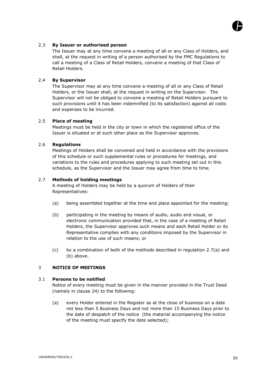

The Issuer may at any time convene a meeting of all or any Class of Holders, and shall, at the request in writing of a person authorised by the FMC Regulations to call a meeting of a Class of Retail Holders, convene a meeting of that Class of Retail Holders.

# 2.4 **By Supervisor**

The Supervisor may at any time convene a meeting of all or any Class of Retail Holders, or the Issuer shall, at the request in writing on the Supervisor. The Supervisor will not be obliged to convene a meeting of Retail Holders pursuant to such provisions until it has been indemnified (to its satisfaction) against all costs and expenses to be incurred.

# 2.5 **Place of meeting**

Meetings must be held in the city or town in which the registered office of the Issuer is situated or at such other place as the Supervisor approves.

# 2.6 **Regulations**

Meetings of Holders shall be convened and held in accordance with the provisions of this schedule or such supplemental rules or procedures for meetings, and variations to the rules and procedures applying to such meeting set out in this schedule, as the Supervisor and the Issuer may agree from time to time.

# 2.7 **Methods of holding meetings**

A meeting of Holders may be held by a quorum of Holders of their Representatives:

- (a) being assembled together at the time and place appointed for the meeting;
- (b) participating in the meeting by means of audio, audio and visual, or electronic communication provided that, in the case of a meeting of Retail Holders, the Supervisor approves such means and each Retail Holder or its Representative complies with any conditions imposed by the Supervisor in relation to the use of such means; or
- (c) by a combination of both of the methods described in regulation 2.7(a) and (b) above.

# 3 **NOTICE OF MEETINGS**

# 3.1 **Persons to be notified**

Notice of every meeting must be given in the manner provided in the Trust Deed (namely in clause 24) to the following:

(a) every Holder entered in the Register as at the close of business on a date not less than 5 Business Days and not more than 15 Business Days prior to the date of despatch of the notice (the material accompanying the notice of the meeting must specify the date selected);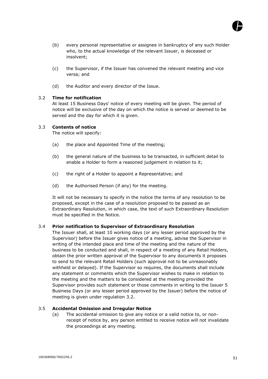

- (b) every personal representative or assignee in bankruptcy of any such Holder who, to the actual knowledge of the relevant Issuer, is deceased or insolvent;
- (c) the Supervisor, if the Issuer has convened the relevant meeting and vice versa; and
- (d) the Auditor and every director of the Issue.

# 3.2 **Time for notification**

At least 15 Business Days' notice of every meeting will be given. The period of notice will be exclusive of the day on which the notice is served or deemed to be served and the day for which it is given.

# 3.3 **Contents of notice**

The notice will specify:

- (a) the place and Appointed Time of the meeting;
- (b) the general nature of the business to be transacted, in sufficient detail to enable a Holder to form a reasoned judgement in relation to it;
- (c) the right of a Holder to appoint a Representative; and
- (d) the Authorised Person (if any) for the meeting.

It will not be necessary to specify in the notice the terms of any resolution to be proposed, except in the case of a resolution proposed to be passed as an Extraordinary Resolution, in which case, the text of such Extraordinary Resolution must be specified in the Notice.

# 3.4 **Prior notification to Supervisor of Extraordinary Resolution**

The Issuer shall, at least 10 working days (or any lesser period approved by the Supervisor) before the Issuer gives notice of a meeting, advise the Supervisor in writing of the intended place and time of the meeting and the nature of the business to be conducted and shall, in respect of a meeting of any Retail Holders, obtain the prior written approval of the Supervisor to any documents it proposes to send to the relevant Retail Holders (such approval not to be unreasonably withheld or delayed). If the Supervisor so requires, the documents shall include any statement or comments which the Supervisor wishes to make in relation to the meeting and the matters to be considered at the meeting provided the Supervisor provides such statement or those comments in writing to the Issuer 5 Business Days (or any lesser period approved by the Issuer) before the notice of meeting is given under regulation 3.2.

# 3.5 **Accidental Omission and Irregular Notice**

(a) The accidental omission to give any notice or a valid notice to, or nonreceipt of notice by, any person entitled to receive notice will not invalidate the proceedings at any meeting.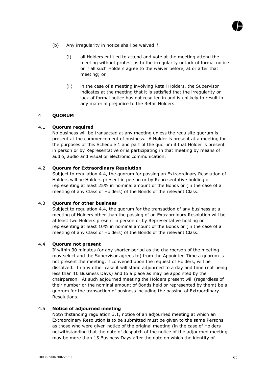- (b) Any irregularity in notice shall be waived if:
	- (i) all Holders entitled to attend and vote at the meeting attend the meeting without protest as to the irregularity or lack of formal notice or if all such Holders agree to the waiver before, at or after that meeting; or
	- (ii) in the case of a meeting involving Retail Holders, the Supervisor indicates at the meeting that it is satisfied that the irregularity or lack of formal notice has not resulted in and is unlikely to result in any material prejudice to the Retail Holders.

# 4 **QUORUM**

# 4.1 **Quorum required**

No business will be transacted at any meeting unless the requisite quorum is present at the commencement of business. A Holder is present at a meeting for the purposes of this Schedule 1 and part of the quorum if that Holder is present in person or by Representative or is participating in that meeting by means of audio, audio and visual or electronic communication.

# 4.2 **Quorum for Extraordinary Resolution**

Subject to regulation 4.4, the quorum for passing an Extraordinary Resolution of Holders will be Holders present in person or by Representative holding or representing at least 25% in nominal amount of the Bonds or (in the case of a meeting of any Class of Holders) of the Bonds of the relevant Class.

# 4.3 **Quorum for other business**

Subject to regulation 4.4, the quorum for the transaction of any business at a meeting of Holders other than the passing of an Extraordinary Resolution will be at least two Holders present in person or by Representative holding or representing at least 10% in nominal amount of the Bonds or (in the case of a meeting of any Class of Holders) of the Bonds of the relevant Class.

# 4.4 **Quorum not present**

If within 30 minutes (or any shorter period as the chairperson of the meeting may select and the Supervisor agrees to) from the Appointed Time a quorum is not present the meeting, if convened upon the request of Holders, will be dissolved. In any other case it will stand adjourned to a day and time (not being less than 10 Business Days) and to a place as may be appointed by the chairperson. At such adjourned meeting the Holders present will (regardless of their number or the nominal amount of Bonds held or represented by them) be a quorum for the transaction of business including the passing of Extraordinary Resolutions.

# 4.5 **Notice of adjourned meeting**

Notwithstanding regulation 3.1, notice of an adjourned meeting at which an Extraordinary Resolution is to be submitted must be given to the same Persons as those who were given notice of the original meeting (in the case of Holders notwithstanding that the date of despatch of the notice of the adjourned meeting may be more than 15 Business Days after the date on which the identity of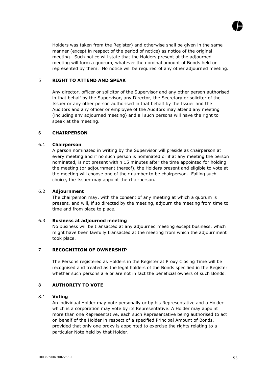

Holders was taken from the Register) and otherwise shall be given in the same manner (except in respect of the period of notice) as notice of the original meeting. Such notice will state that the Holders present at the adjourned meeting will form a quorum, whatever the nominal amount of Bonds held or represented by them. No notice will be required of any other adjourned meeting.

# 5 **RIGHT TO ATTEND AND SPEAK**

Any director, officer or solicitor of the Supervisor and any other person authorised in that behalf by the Supervisor, any Director, the Secretary or solicitor of the Issuer or any other person authorised in that behalf by the Issuer and the Auditors and any officer or employee of the Auditors may attend any meeting (including any adjourned meeting) and all such persons will have the right to speak at the meeting.

# 6 **CHAIRPERSON**

# 6.1 **Chairperson**

A person nominated in writing by the Supervisor will preside as chairperson at every meeting and if no such person is nominated or if at any meeting the person nominated, is not present within 15 minutes after the time appointed for holding the meeting (or adjournment thereof), the Holders present and eligible to vote at the meeting will choose one of their number to be chairperson. Failing such choice, the Issuer may appoint the chairperson.

# 6.2 **Adjournment**

The chairperson may, with the consent of any meeting at which a quorum is present, and will, if so directed by the meeting, adjourn the meeting from time to time and from place to place.

# 6.3 **Business at adjourned meeting**

No business will be transacted at any adjourned meeting except business, which might have been lawfully transacted at the meeting from which the adjournment took place.

# 7 **RECOGNITION OF OWNERSHIP**

The Persons registered as Holders in the Register at Proxy Closing Time will be recognised and treated as the legal holders of the Bonds specified in the Register whether such persons are or are not in fact the beneficial owners of such Bonds.

# 8 **AUTHORITY TO VOTE**

# 8.1 **Voting**

An individual Holder may vote personally or by his Representative and a Holder which is a corporation may vote by its Representative. A Holder may appoint more than one Representative, each such Representative being authorised to act on behalf of the Holder in respect of a specified Principal Amount of Bonds, provided that only one proxy is appointed to exercise the rights relating to a particular Note held by that Holder.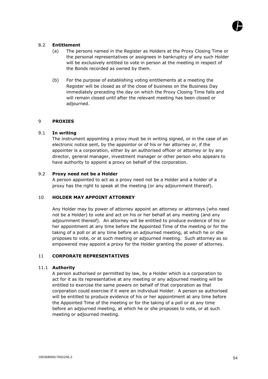# 8.2 **Entitlement**

- (a) The persons named in the Register as Holders at the Proxy Closing Time or the personal representatives or assignees in bankruptcy of any such Holder will be exclusively entitled to vote in person at the meeting in respect of the Bonds recorded as owned by them.
- (b) For the purpose of establishing voting entitlements at a meeting the Register will be closed as of the close of business on the Business Day immediately preceding the day on which the Proxy Closing Time falls and will remain closed until after the relevant meeting has been closed or adjourned.

# 9 **PROXIES**

# 9.1 **In writing**

The instrument appointing a proxy must be in writing signed, or in the case of an electronic notice sent, by the appointor or of his or her attorney or, if the appointer is a corporation, either by an authorised officer or attorney or by any director, general manager, investment manager or other person who appears to have authority to appoint a proxy on behalf of the corporation.

# 9.2 **Proxy need not be a Holder**

A person appointed to act as a proxy need not be a Holder and a holder of a proxy has the right to speak at the meeting (or any adjournment thereof).

# 10 **HOLDER MAY APPOINT ATTORNEY**

Any Holder may by power of attorney appoint an attorney or attorneys (who need not be a Holder) to vote and act on his or her behalf at any meeting (and any adjournment thereof). An attorney will be entitled to produce evidence of his or her appointment at any time before the Appointed Time of the meeting or for the taking of a poll or at any time before an adjourned meeting, at which he or she proposes to vote, or at such meeting or adjourned meeting. Such attorney as so empowered may appoint a proxy for the Holder granting the power of attorney.

# 11 **CORPORATE REPRESENTATIVES**

# 11.1 **Authority**

A person authorised or permitted by law, by a Holder which is a corporation to act for it as its representative at any meeting or any adjourned meeting will be entitled to exercise the same powers on behalf of that corporation as that corporation could exercise if it were an individual Holder. A person so authorised will be entitled to produce evidence of his or her appointment at any time before the Appointed Time of the meeting or for the taking of a poll or at any time before an adjourned meeting, at which he or she proposes to vote, or at such meeting or adjourned meeting.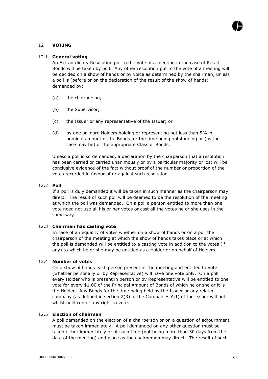# 12 **VOTING**

# 12.1 **General voting**

An Extraordinary Resolution put to the vote of a meeting in the case of Retail Bonds will be taken by poll. Any other resolution put to the vote of a meeting will be decided on a show of hands or by voice as determined by the chairman, unless a poll is (before or on the declaration of the result of the show of hands) demanded by:

- (a) the chairperson;
- (b) the Supervisor;
- (c) the Issuer or any representative of the Issuer; or
- (d) by one or more Holders holding or representing not less than 5% in nominal amount of the Bonds for the time being outstanding or (as the case may be) of the appropriate Class of Bonds.

Unless a poll is so demanded, a declaration by the chairperson that a resolution has been carried or carried unanimously or by a particular majority or lost will be conclusive evidence of the fact without proof of the number or proportion of the votes recorded in favour of or against such resolution.

# 12.2 **Poll**

If a poll is duly demanded it will be taken in such manner as the chairperson may direct. The result of such poll will be deemed to be the resolution of the meeting at which the poll was demanded. On a poll a person entitled to more than one vote need not use all his or her votes or cast all the votes he or she uses in the same way.

# 12.3 **Chairman has casting vote**

In case of an equality of votes whether on a show of hands or on a poll the chairperson of the meeting at which the show of hands takes place or at which the poll is demanded will be entitled to a casting vote in addition to the votes (if any) to which he or she may be entitled as a Holder or on behalf of Holders.

# 12.4 **Number of votes**

On a show of hands each person present at the meeting and entitled to vote (whether personally or by Representative) will have one vote only. On a poll every Holder who is present in person or by Representative will be entitled to one vote for every \$1.00 of the Principal Amount of Bonds of which he or she or it is the Holder. Any Bonds for the time being held by the Issuer or any related company (as defined in section 2(3) of the Companies Act) of the Issuer will not whilst held confer any right to vote.

# 12.5 **Election of chairman**

A poll demanded on the election of a chairperson or on a question of adjournment must be taken immediately. A poll demanded on any other question must be taken either immediately or at such time (not being more than 30 days from the date of the meeting) and place as the chairperson may direct. The result of such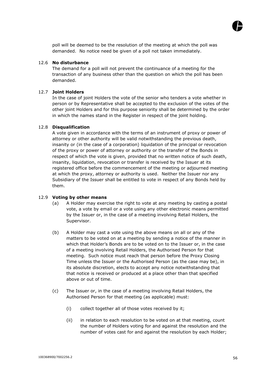

poll will be deemed to be the resolution of the meeting at which the poll was demanded. No notice need be given of a poll not taken immediately.

# 12.6 **No disturbance**

The demand for a poll will not prevent the continuance of a meeting for the transaction of any business other than the question on which the poll has been demanded.

#### 12.7 **Joint Holders**

In the case of joint Holders the vote of the senior who tenders a vote whether in person or by Representative shall be accepted to the exclusion of the votes of the other joint Holders and for this purpose seniority shall be determined by the order in which the names stand in the Register in respect of the joint holding.

# 12.8 **Disqualification**

A vote given in accordance with the terms of an instrument of proxy or power of attorney or other authority will be valid notwithstanding the previous death, insanity or (in the case of a corporation) liquidation of the principal or revocation of the proxy or power of attorney or authority or the transfer of the Bonds in respect of which the vote is given, provided that no written notice of such death, insanity, liquidation, revocation or transfer is received by the Issuer at its registered office before the commencement of the meeting or adjourned meeting at which the proxy, attorney or authority is used. Neither the Issuer nor any Subsidiary of the Issuer shall be entitled to vote in respect of any Bonds held by them.

#### 12.9 **Voting by other means**

- (a) A Holder may exercise the right to vote at any meeting by casting a postal vote, a vote by email or a vote using any other electronic means permitted by the Issuer or, in the case of a meeting involving Retail Holders, the Supervisor.
- (b) A Holder may cast a vote using the above means on all or any of the matters to be voted on at a meeting by sending a notice of the manner in which that Holder's Bonds are to be voted on to the Issuer or, in the case of a meeting involving Retail Holders, the Authorised Person for that meeting. Such notice must reach that person before the Proxy Closing Time unless the Issuer or the Authorised Person (as the case may be), in its absolute discretion, elects to accept any notice notwithstanding that that notice is received or produced at a place other than that specified above or out of time.
- (c) The Issuer or, in the case of a meeting involving Retail Holders, the Authorised Person for that meeting (as applicable) must:
	- (i) collect together all of those votes received by it;
	- (ii) in relation to each resolution to be voted on at that meeting, count the number of Holders voting for and against the resolution and the number of votes cast for and against the resolution by each Holder;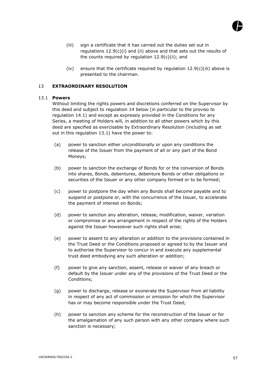

- (iii) sign a certificate that it has carried out the duties set out in regulations 12.9(c)(i) and (ii) above and that sets out the results of the counts required by regulation  $12.9(c)(ii)$ ; and
- (iv) ensure that the certificate required by regulation  $12.9(c)$ (iii) above is presented to the chairman.

# 13 **EXTRAORDINARY RESOLUTION**

# 13.1 **Powers**

Without limiting the rights powers and discretions conferred on the Supervisor by this deed and subject to regulation 14 below (in particular to the proviso to regulation 14.1) and except as expressly provided in the Conditions for any Series, a meeting of Holders will, in addition to all other powers which by this deed are specified as exercisable by Extraordinary Resolution (including as set out in this regulation 13.1) have the power to:

- (a) power to sanction either unconditionally or upon any conditions the release of the Issuer from the payment of all or any part of the Bond Moneys;
- (b) power to sanction the exchange of Bonds for or the conversion of Bonds into shares, Bonds, debentures, debenture Bonds or other obligations or securities of the Issuer or any other company formed or to be formed;
- (c) power to postpone the day when any Bonds shall become payable and to suspend or postpone or, with the concurrence of the Issuer, to accelerate the payment of interest on Bonds;
- (d) power to sanction any alteration, release, modification, waiver, variation or compromise or any arrangement in respect of the rights of the Holders against the Issuer howsoever such rights shall arise;
- (e) power to assent to any alteration or addition to the provisions contained in the Trust Deed or the Conditions proposed or agreed to by the Issuer and to authorise the Supervisor to concur in and execute any supplemental trust deed embodying any such alteration or addition;
- (f) power to give any sanction, assent, release or waiver of any breach or default by the Issuer under any of the provisions of the Trust Deed or the Conditions;
- (g) power to discharge, release or exonerate the Supervisor from all liability in respect of any act of commission or omission for which the Supervisor has or may become responsible under the Trust Deed;
- (h) power to sanction any scheme for the reconstruction of the Issuer or for the amalgamation of any such person with any other company where such sanction is necessary;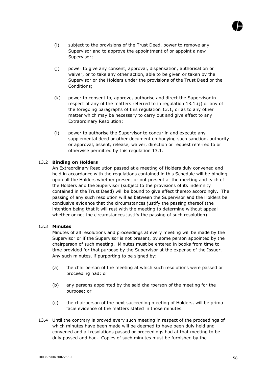- (i) subject to the provisions of the Trust Deed, power to remove any Supervisor and to approve the appointment of or appoint a new Supervisor;
- (j) power to give any consent, approval, dispensation, authorisation or waiver, or to take any other action, able to be given or taken by the Supervisor or the Holders under the provisions of the Trust Deed or the Conditions;
- (k) power to consent to, approve, authorise and direct the Supervisor in respect of any of the matters referred to in regulation 13.1.(j) or any of the foregoing paragraphs of this regulation 13.1, or as to any other matter which may be necessary to carry out and give effect to any Extraordinary Resolution;
- (l) power to authorise the Supervisor to concur in and execute any supplemental deed or other document embodying such sanction, authority or approval, assent, release, waiver, direction or request referred to or otherwise permitted by this regulation 13.1.

# 13.2 **Binding on Holders**

An Extraordinary Resolution passed at a meeting of Holders duly convened and held in accordance with the regulations contained in this Schedule will be binding upon all the Holders whether present or not present at the meeting and each of the Holders and the Supervisor (subject to the provisions of its indemnity contained in the Trust Deed) will be bound to give effect thereto accordingly. The passing of any such resolution will as between the Supervisor and the Holders be conclusive evidence that the circumstances justify the passing thereof (the intention being that it will rest with the meeting to determine without appeal whether or not the circumstances justify the passing of such resolution).

# 13.3 **Minutes**

Minutes of all resolutions and proceedings at every meeting will be made by the Supervisor or if the Supervisor is not present, by some person appointed by the chairperson of such meeting. Minutes must be entered in books from time to time provided for that purpose by the Supervisor at the expense of the Issuer. Any such minutes, if purporting to be signed by:

- (a) the chairperson of the meeting at which such resolutions were passed or proceeding had; or
- (b) any persons appointed by the said chairperson of the meeting for the purpose; or
- (c) the chairperson of the next succeeding meeting of Holders, will be prima facie evidence of the matters stated in those minutes.
- 13.4 Until the contrary is proved every such meeting in respect of the proceedings of which minutes have been made will be deemed to have been duly held and convened and all resolutions passed or proceedings had at that meeting to be duly passed and had. Copies of such minutes must be furnished by the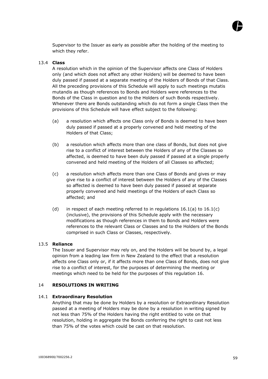

Supervisor to the Issuer as early as possible after the holding of the meeting to which they refer.

#### 13.4 **Class**

A resolution which in the opinion of the Supervisor affects one Class of Holders only (and which does not affect any other Holders) will be deemed to have been duly passed if passed at a separate meeting of the Holders of Bonds of that Class. All the preceding provisions of this Schedule will apply to such meetings mutatis mutandis as though references to Bonds and Holders were references to the Bonds of the Class in question and to the Holders of such Bonds respectively. Whenever there are Bonds outstanding which do not form a single Class then the provisions of this Schedule will have effect subject to the following:

- (a) a resolution which affects one Class only of Bonds is deemed to have been duly passed if passed at a properly convened and held meeting of the Holders of that Class;
- (b) a resolution which affects more than one class of Bonds, but does not give rise to a conflict of interest between the Holders of any of the Classes so affected, is deemed to have been duly passed if passed at a single properly convened and held meeting of the Holders of all Classes so affected;
- (c) a resolution which affects more than one Class of Bonds and gives or may give rise to a conflict of interest between the Holders of any of the Classes so affected is deemed to have been duly passed if passed at separate properly convened and held meetings of the Holders of each Class so affected; and
- (d) in respect of each meeting referred to in regulations  $16.1(a)$  to  $16.1(c)$ (inclusive), the provisions of this Schedule apply with the necessary modifications as though references in them to Bonds and Holders were references to the relevant Class or Classes and to the Holders of the Bonds comprised in such Class or Classes, respectively.

#### 13.5 **Reliance**

The Issuer and Supervisor may rely on, and the Holders will be bound by, a legal opinion from a leading law firm in New Zealand to the effect that a resolution affects one Class only or, if it affects more than one Class of Bonds, does not give rise to a conflict of interest, for the purposes of determining the meeting or meetings which need to be held for the purposes of this regulation 16.

#### 14 **RESOLUTIONS IN WRITING**

#### 14.1 **Extraordinary Resolution**

Anything that may be done by Holders by a resolution or Extraordinary Resolution passed at a meeting of Holders may be done by a resolution in writing signed by not less than 75% of the Holders having the right entitled to vote on that resolution, holding in aggregate the Bonds conferring the right to cast not less than 75% of the votes which could be cast on that resolution.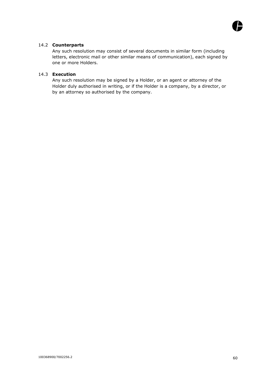

# 14.2 **Counterparts**

Any such resolution may consist of several documents in similar form (including letters, electronic mail or other similar means of communication), each signed by one or more Holders.

# 14.3 **Execution**

Any such resolution may be signed by a Holder, or an agent or attorney of the Holder duly authorised in writing, or if the Holder is a company, by a director, or by an attorney so authorised by the company.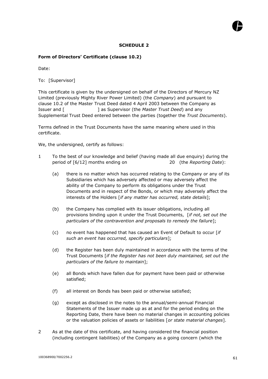# **SCHEDULE 2**

# **Form of Directors' Certificate (clause 10.2)**

Date:

To: [Supervisor]

This certificate is given by the undersigned on behalf of the Directors of Mercury NZ Limited (previously Mighty River Power Limited) (the *Company*) and pursuant to clause 10.2 of the Master Trust Deed dated 4 April 2003 between the Company as Issuer and [ ] as Supervisor (the *Master Trust Deed*) and any Supplemental Trust Deed entered between the parties (together the *Trust Documents*).

Terms defined in the Trust Documents have the same meaning where used in this certificate.

We, the undersigned, certify as follows:

- 1 To the best of our knowledge and belief (having made all due enquiry) during the period of [6/12] months ending on 20 (the *Reporting Date*):
	- (a) there is no matter which has occurred relating to the Company or any of its Subsidiaries which has adversely affected or may adversely affect the ability of the Company to perform its obligations under the Trust Documents and in respect of the Bonds, or which may adversely affect the interests of the Holders [*if any matter has occurred, state details*];
	- (b) the Company has complied with its issuer obligations, including all provisions binding upon it under the Trust Documents, [*if not, set out the particulars of the contravention and proposals to remedy the failure*];
	- (c) no event has happened that has caused an Event of Default to occur [*if such an event has occurred, specify particulars*];
	- (d) the Register has been duly maintained in accordance with the terms of the Trust Documents [*if the Register has not been duly maintained, set out the particulars of the failure to maintain*];
	- (e) all Bonds which have fallen due for payment have been paid or otherwise satisfied;
	- (f) all interest on Bonds has been paid or otherwise satisfied;
	- (g) except as disclosed in the notes to the annual/semi-annual Financial Statements of the Issuer made up as at and for the period ending on the Reporting Date, there have been no material changes in accounting policies or the valuation policies of assets or liabilities [*or state material changes*].
- 2 As at the date of this certificate, and having considered the financial position (including contingent liabilities) of the Company as a going concern (which the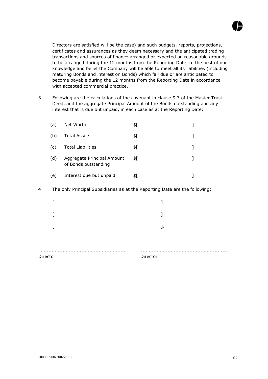

Directors are satisfied will be the case) and such budgets, reports, projections, certificates and assurances as they deem necessary and the anticipated trading transactions and sources of finance arranged or expected on reasonable grounds to be arranged during the 12 months from the Reporting Date, to the best of our knowledge and belief the Company will be able to meet all its liabilities (including maturing Bonds and interest on Bonds) which fall due or are anticipated to become payable during the 12 months from the Reporting Date in accordance with accepted commercial practice.

3 Following are the calculations of the covenant in clause 9.3 of the Master Trust Deed, and the aggregate Principal Amount of the Bonds outstanding and any interest that is due but unpaid, in each case as at the Reporting Date:

| (a) | Net Worth                                          | \$[ |  |
|-----|----------------------------------------------------|-----|--|
| (b) | <b>Total Assets</b>                                | \$[ |  |
| (C) | <b>Total Liabilities</b>                           | \$[ |  |
| (d) | Aggregate Principal Amount<br>of Bonds outstanding | \$[ |  |
| (e) | Interest due but unpaid                            | \$۲ |  |
|     |                                                    |     |  |

4 The only Principal Subsidiaries as at the Reporting Date are the following:

|  | 1. |  |
|--|----|--|
|  |    |  |
|  |    |  |
|  |    |  |

Director Director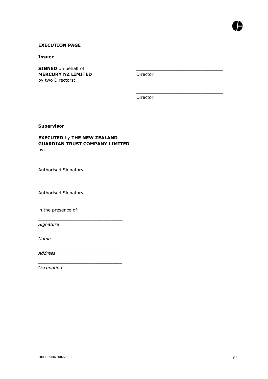

## **EXECUTION PAGE**

**Issuer**

**SIGNED** on behalf of **MERCURY NZ LIMITED** by two Directors:

Director

\_\_\_\_\_\_\_\_\_\_\_\_\_\_\_\_\_\_\_\_\_\_\_\_\_\_\_\_\_\_\_\_

\_\_\_\_\_\_\_\_\_\_\_\_\_\_\_\_\_\_\_\_\_\_\_\_\_\_\_\_\_\_\_\_

Director

**Supervisor**

## **EXECUTED** by **THE NEW ZEALAND GUARDIAN TRUST COMPANY LIMITED** by*:*

\_\_\_\_\_\_\_\_\_\_\_\_\_\_\_\_\_\_\_\_\_\_\_\_\_\_\_\_\_\_\_

\_\_\_\_\_\_\_\_\_\_\_\_\_\_\_\_\_\_\_\_\_\_\_\_\_\_\_\_\_\_\_

\_\_\_\_\_\_\_\_\_\_\_\_\_\_\_\_\_\_\_\_\_\_\_\_\_\_\_\_\_\_\_

*\_\_\_\_\_\_\_\_\_\_\_\_\_\_\_\_\_\_\_\_\_\_\_\_\_\_\_\_\_\_\_*

*\_\_\_\_\_\_\_\_\_\_\_\_\_\_\_\_\_\_\_\_\_\_\_\_\_\_\_\_\_\_\_*

*\_\_\_\_\_\_\_\_\_\_\_\_\_\_\_\_\_\_\_\_\_\_\_\_\_\_\_\_\_\_\_*

Authorised Signatory

Authorised Signatory

in the presence of:

*Signature*

*Name*

*Address*

*Occupation*